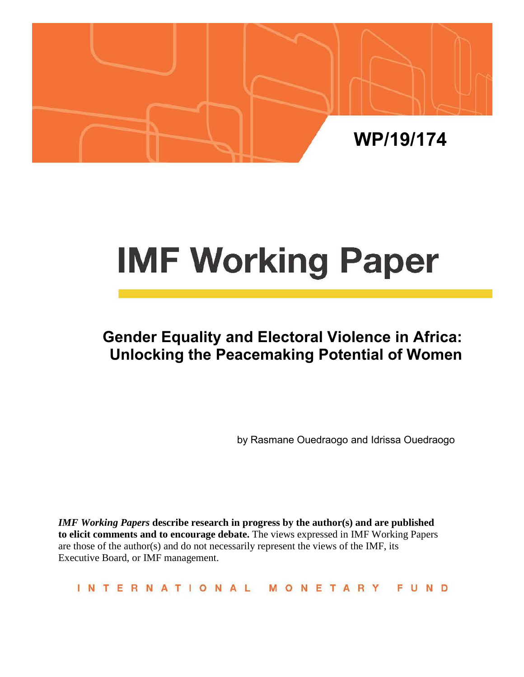

# **IMF Working Paper**

# **Gender Equality and Electoral Violence in Africa: Unlocking the Peacemaking Potential of Women**

by Rasmane Ouedraogo and Idrissa Ouedraogo

*IMF Working Papers* **describe research in progress by the author(s) and are published to elicit comments and to encourage debate.** The views expressed in IMF Working Papers are those of the author(s) and do not necessarily represent the views of the IMF, its Executive Board, or IMF management.

**INTERNATIONAL** FUND MONETARY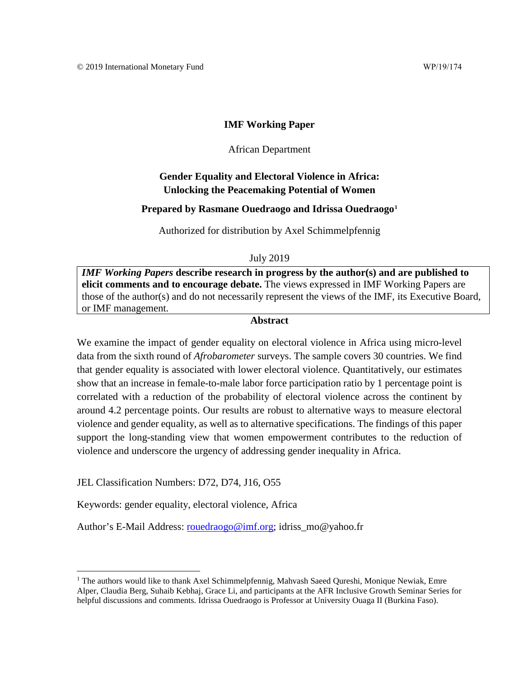# **IMF Working Paper**

# African Department

# **Gender Equality and Electoral Violence in Africa: Unlocking the Peacemaking Potential of Women**

# **Prepared by Rasmane Ouedraogo and Idrissa Ouedraogo[1](#page-1-0)**

Authorized for distribution by Axel Schimmelpfennig

July 2019

*IMF Working Papers* **describe research in progress by the author(s) and are published to elicit comments and to encourage debate.** The views expressed in IMF Working Papers are those of the author(s) and do not necessarily represent the views of the IMF, its Executive Board, or IMF management.

# **Abstract**

<span id="page-1-1"></span>We examine the impact of gender equality on electoral violence in Africa using micro-level data from the sixth round of *Afrobarometer* surveys. The sample covers 30 countries. We find that gender equality is associated with lower electoral violence. Quantitatively, our estimates show that an increase in female-to-male labor force participation ratio by 1 percentage point is correlated with a reduction of the probability of electoral violence across the continent by around 4.2 percentage points. Our results are robust to alternative ways to measure electoral violence and gender equality, as well as to alternative specifications. The findings of this paper support the long-standing view that women empowerment contributes to the reduction of violence and underscore the urgency of addressing gender inequality in Africa.

JEL Classification Numbers: D72, D74, J16, O55

Keywords: gender equality, electoral violence, Africa

Author's E-Mail Address: [rouedraogo@imf.org;](mailto:rouedraogo@imf.org) idriss\_mo@yahoo.fr

<span id="page-1-0"></span> $1$  The authors would like to thank Axel Schimmelpfennig, Mahvash Saeed Qureshi, Monique Newiak, Emre Alper, Claudia Berg, Suhaib Kebhaj, Grace Li, and participants at the AFR Inclusive Growth Seminar Series for helpful discussions and comments. Idrissa Ouedraogo is Professor at University Ouaga II (Burkina Faso).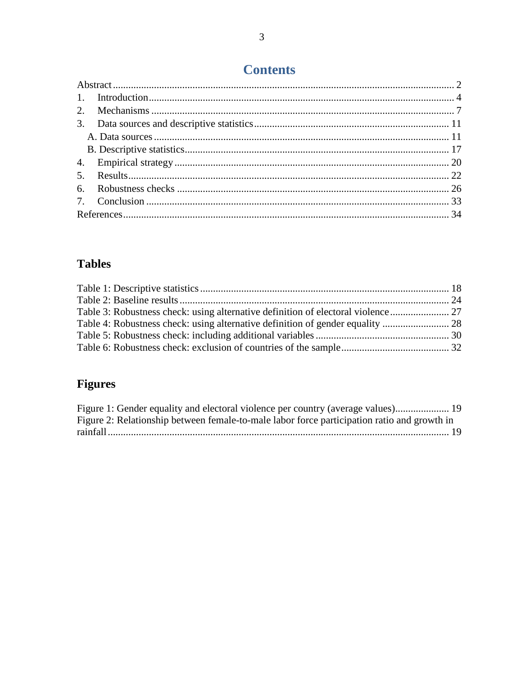# **Contents**

# **Tables**

# Figures

| Figure 1: Gender equality and electoral violence per country (average values) 19            |  |
|---------------------------------------------------------------------------------------------|--|
| Figure 2: Relationship between female-to-male labor force participation ratio and growth in |  |
|                                                                                             |  |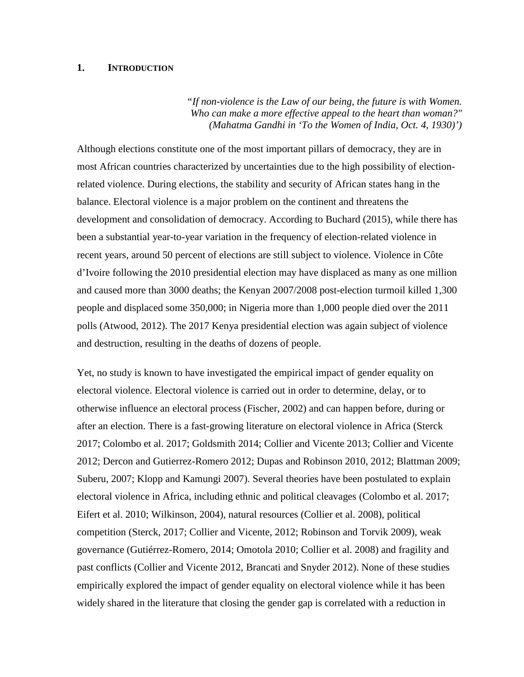# <span id="page-3-0"></span>**1. INTRODUCTION**

*"If non-violence is the Law of our being, the future is with Women. Who can make a more effective appeal to the heart than woman?" (Mahatma Gandhi in 'To the Women of India, Oct. 4, 1930)')*

Although elections constitute one of the most important pillars of democracy, they are in most African countries characterized by uncertainties due to the high possibility of electionrelated violence. During elections, the stability and security of African states hang in the balance. Electoral violence is a major problem on the continent and threatens the development and consolidation of democracy. According to Buchard (2015), while there has been a substantial year-to-year variation in the frequency of election-related violence in recent years, around 50 percent of elections are still subject to violence. Violence in Côte d'Ivoire following the 2010 presidential election may have displaced as many as one million and caused more than 3000 deaths; the Kenyan 2007/2008 post-election turmoil killed 1,300 people and displaced some 350,000; in Nigeria more than 1,000 people died over the 2011 polls (Atwood, 2012). The 2017 Kenya presidential election was again subject of violence and destruction, resulting in the deaths of dozens of people.

Yet, no study is known to have investigated the empirical impact of gender equality on electoral violence. Electoral violence is carried out in order to determine, delay, or to otherwise influence an electoral process (Fischer, 2002) and can happen before, during or after an election. There is a fast-growing literature on electoral violence in Africa (Sterck 2017; Colombo et al. 2017; Goldsmith 2014; Collier and Vicente 2013; Collier and Vicente 2012; Dercon and Gutierrez-Romero 2012; Dupas and Robinson 2010, 2012; Blattman 2009; Suberu, 2007; Klopp and Kamungi 2007). Several theories have been postulated to explain electoral violence in Africa, including ethnic and political cleavages (Colombo et al. 2017; Eifert et al. 2010; Wilkinson, 2004), natural resources (Collier et al. 2008), political competition (Sterck, 2017; Collier and Vicente, 2012; Robinson and Torvik 2009), weak governance (Gutiérrez-Romero, 2014; Omotola 2010; Collier et al. 2008) and fragility and past conflicts (Collier and Vicente 2012, Brancati and Snyder 2012). None of these studies empirically explored the impact of gender equality on electoral violence while it has been widely shared in the literature that closing the gender gap is correlated with a reduction in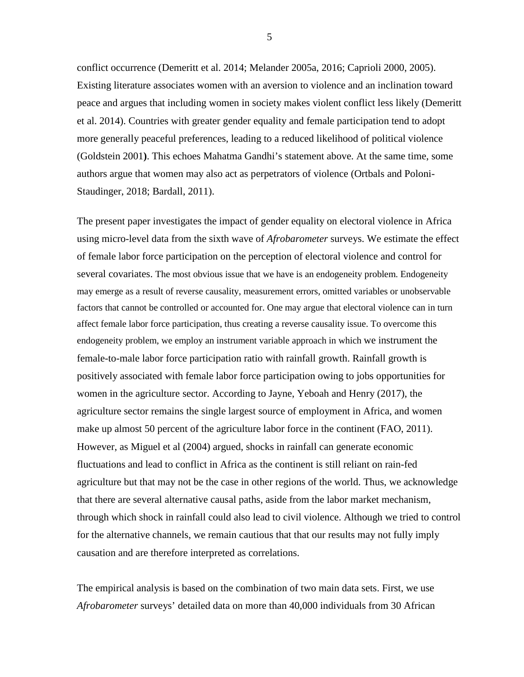conflict occurrence (Demeritt et al. 2014; Melander 2005a, 2016; Caprioli 2000, 2005). Existing literature associates women with an aversion to violence and an inclination toward peace and argues that including women in society makes violent conflict less likely (Demeritt et al. 2014). Countries with greater gender equality and female participation tend to adopt more generally peaceful preferences, leading to a reduced likelihood of political violence (Goldstein 2001**)**. This echoes Mahatma Gandhi's statement above. At the same time, some authors argue that women may also act as perpetrators of violence (Ortbals and Poloni-Staudinger, 2018; Bardall, 2011).

The present paper investigates the impact of gender equality on electoral violence in Africa using micro-level data from the sixth wave of *Afrobarometer* surveys. We estimate the effect of female labor force participation on the perception of electoral violence and control for several covariates. The most obvious issue that we have is an endogeneity problem. Endogeneity may emerge as a result of reverse causality, measurement errors, omitted variables or unobservable factors that cannot be controlled or accounted for. One may argue that electoral violence can in turn affect female labor force participation, thus creating a reverse causality issue. To overcome this endogeneity problem, we employ an instrument variable approach in which we instrument the female-to-male labor force participation ratio with rainfall growth. Rainfall growth is positively associated with female labor force participation owing to jobs opportunities for women in the agriculture sector. According to Jayne, Yeboah and Henry (2017), the agriculture sector remains the single largest source of employment in Africa, and women make up almost 50 percent of the agriculture labor force in the continent (FAO, 2011). However, as Miguel et al (2004) argued, shocks in rainfall can generate economic fluctuations and lead to conflict in Africa as the continent is still reliant on rain-fed agriculture but that may not be the case in other regions of the world. Thus, we acknowledge that there are several alternative causal paths, aside from the labor market mechanism, through which shock in rainfall could also lead to civil violence. Although we tried to control for the alternative channels, we remain cautious that that our results may not fully imply causation and are therefore interpreted as correlations.

The empirical analysis is based on the combination of two main data sets. First, we use *Afrobarometer* surveys' detailed data on more than 40,000 individuals from 30 African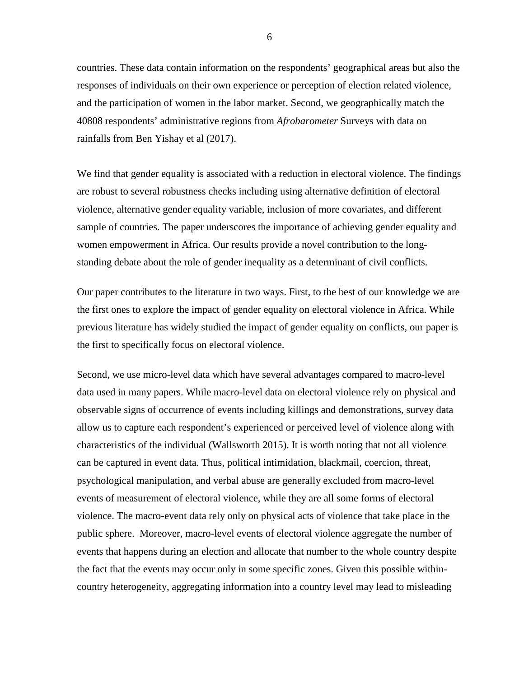countries. These data contain information on the respondents' geographical areas but also the responses of individuals on their own experience or perception of election related violence, and the participation of women in the labor market. Second, we geographically match the 40808 respondents' administrative regions from *Afrobarometer* Surveys with data on rainfalls from Ben Yishay et al (2017).

We find that gender equality is associated with a reduction in electoral violence. The findings are robust to several robustness checks including using alternative definition of electoral violence, alternative gender equality variable, inclusion of more covariates, and different sample of countries. The paper underscores the importance of achieving gender equality and women empowerment in Africa. Our results provide a novel contribution to the longstanding debate about the role of gender inequality as a determinant of civil conflicts.

Our paper contributes to the literature in two ways. First, to the best of our knowledge we are the first ones to explore the impact of gender equality on electoral violence in Africa. While previous literature has widely studied the impact of gender equality on conflicts, our paper is the first to specifically focus on electoral violence.

Second, we use micro-level data which have several advantages compared to macro-level data used in many papers. While macro-level data on electoral violence rely on physical and observable signs of occurrence of events including killings and demonstrations, survey data allow us to capture each respondent's experienced or perceived level of violence along with characteristics of the individual (Wallsworth 2015). It is worth noting that not all violence can be captured in event data. Thus, political intimidation, blackmail, coercion, threat, psychological manipulation, and verbal abuse are generally excluded from macro-level events of measurement of electoral violence, while they are all some forms of electoral violence. The macro-event data rely only on physical acts of violence that take place in the public sphere. Moreover, macro-level events of electoral violence aggregate the number of events that happens during an election and allocate that number to the whole country despite the fact that the events may occur only in some specific zones. Given this possible withincountry heterogeneity, aggregating information into a country level may lead to misleading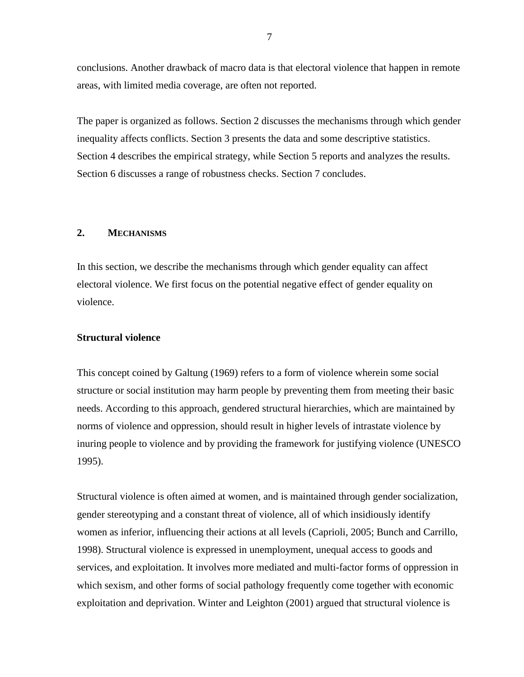conclusions. Another drawback of macro data is that electoral violence that happen in remote areas, with limited media coverage, are often not reported.

The paper is organized as follows. Section 2 discusses the mechanisms through which gender inequality affects conflicts. Section 3 presents the data and some descriptive statistics. Section 4 describes the empirical strategy, while Section 5 reports and analyzes the results. Section 6 discusses a range of robustness checks. Section 7 concludes.

# <span id="page-6-0"></span>**2. MECHANISMS**

In this section, we describe the mechanisms through which gender equality can affect electoral violence. We first focus on the potential negative effect of gender equality on violence.

# **Structural violence**

This concept coined by Galtung (1969) refers to a form of violence wherein some social structure or social institution may harm people by preventing them from meeting their basic needs. According to this approach, gendered structural hierarchies, which are maintained by norms of violence and oppression, should result in higher levels of intrastate violence by inuring people to violence and by providing the framework for justifying violence (UNESCO 1995).

Structural violence is often aimed at women, and is maintained through gender socialization, gender stereotyping and a constant threat of violence, all of which insidiously identify women as inferior, influencing their actions at all levels (Caprioli, 2005; Bunch and Carrillo, 1998). Structural violence is expressed in unemployment, unequal access to goods and services, and exploitation. It involves more mediated and multi-factor forms of oppression in which sexism, and other forms of social pathology frequently come together with economic exploitation and deprivation. Winter and Leighton (2001) argued that structural violence is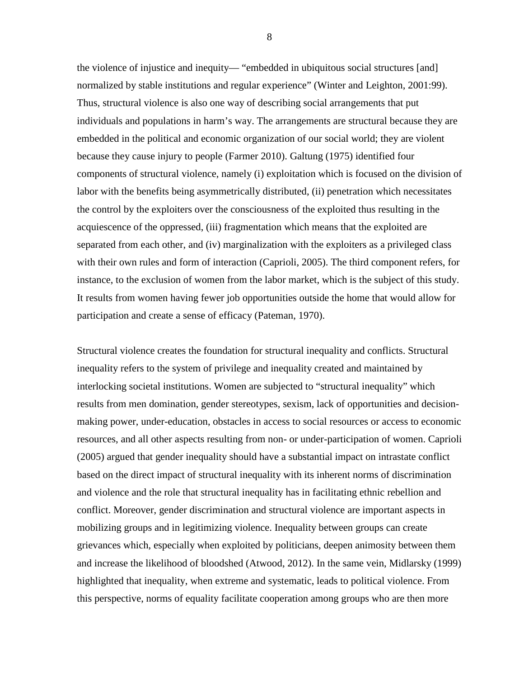the violence of injustice and inequity— "embedded in ubiquitous social structures [and] normalized by stable institutions and regular experience" (Winter and Leighton, 2001:99). Thus, structural violence is also one way of describing social arrangements that put individuals and populations in harm's way. The arrangements are structural because they are embedded in the political and economic organization of our social world; they are violent because they cause injury to people (Farmer 2010). Galtung (1975) identified four components of structural violence, namely (i) exploitation which is focused on the division of labor with the benefits being asymmetrically distributed, (ii) penetration which necessitates the control by the exploiters over the consciousness of the exploited thus resulting in the acquiescence of the oppressed, (iii) fragmentation which means that the exploited are separated from each other, and (iv) marginalization with the exploiters as a privileged class with their own rules and form of interaction (Caprioli, 2005). The third component refers, for instance, to the exclusion of women from the labor market, which is the subject of this study. It results from women having fewer job opportunities outside the home that would allow for participation and create a sense of efficacy (Pateman, 1970).

Structural violence creates the foundation for structural inequality and conflicts. Structural inequality refers to the system of privilege and inequality created and maintained by interlocking societal institutions. Women are subjected to "structural inequality" which results from men domination, gender stereotypes, sexism, lack of opportunities and decisionmaking power, under-education, obstacles in access to social resources or access to economic resources, and all other aspects resulting from non- or under-participation of women. Caprioli (2005) argued that gender inequality should have a substantial impact on intrastate conflict based on the direct impact of structural inequality with its inherent norms of discrimination and violence and the role that structural inequality has in facilitating ethnic rebellion and conflict. Moreover, gender discrimination and structural violence are important aspects in mobilizing groups and in legitimizing violence. Inequality between groups can create grievances which, especially when exploited by politicians, deepen animosity between them and increase the likelihood of bloodshed (Atwood, 2012). In the same vein, Midlarsky (1999) highlighted that inequality, when extreme and systematic, leads to political violence. From this perspective, norms of equality facilitate cooperation among groups who are then more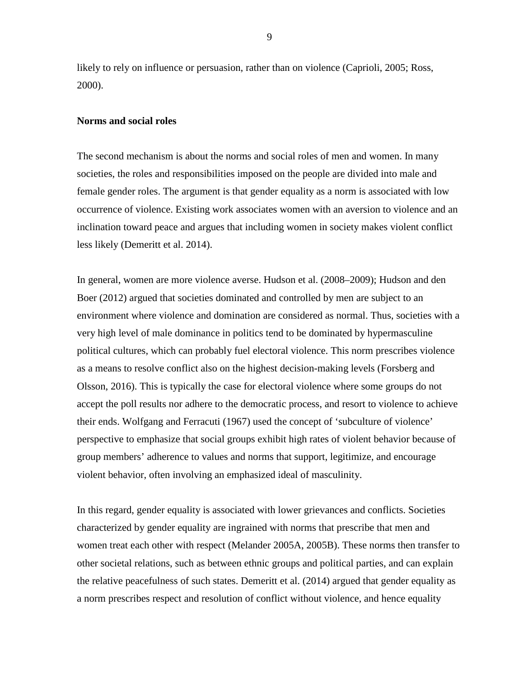likely to rely on influence or persuasion, rather than on violence (Caprioli, 2005; Ross, 2000).

### **Norms and social roles**

The second mechanism is about the norms and social roles of men and women. In many societies, the roles and responsibilities imposed on the people are divided into male and female gender roles. The argument is that gender equality as a norm is associated with low occurrence of violence. Existing work associates women with an aversion to violence and an inclination toward peace and argues that including women in society makes violent conflict less likely (Demeritt et al. 2014).

In general, women are more violence averse. Hudson et al. (2008–2009); Hudson and den Boer (2012) argued that societies dominated and controlled by men are subject to an environment where violence and domination are considered as normal. Thus, societies with a very high level of male dominance in politics tend to be dominated by hypermasculine political cultures, which can probably fuel electoral violence. This norm prescribes violence as a means to resolve conflict also on the highest decision-making levels (Forsberg and Olsson, 2016). This is typically the case for electoral violence where some groups do not accept the poll results nor adhere to the democratic process, and resort to violence to achieve their ends. Wolfgang and Ferracuti (1967) used the concept of 'subculture of violence' perspective to emphasize that social groups exhibit high rates of violent behavior because of group members' adherence to values and norms that support, legitimize, and encourage violent behavior, often involving an emphasized ideal of masculinity.

In this regard, gender equality is associated with lower grievances and conflicts. Societies characterized by gender equality are ingrained with norms that prescribe that men and women treat each other with respect (Melander 2005A, 2005B). These norms then transfer to other societal relations, such as between ethnic groups and political parties, and can explain the relative peacefulness of such states. Demeritt et al. (2014) argued that gender equality as a norm prescribes respect and resolution of conflict without violence, and hence equality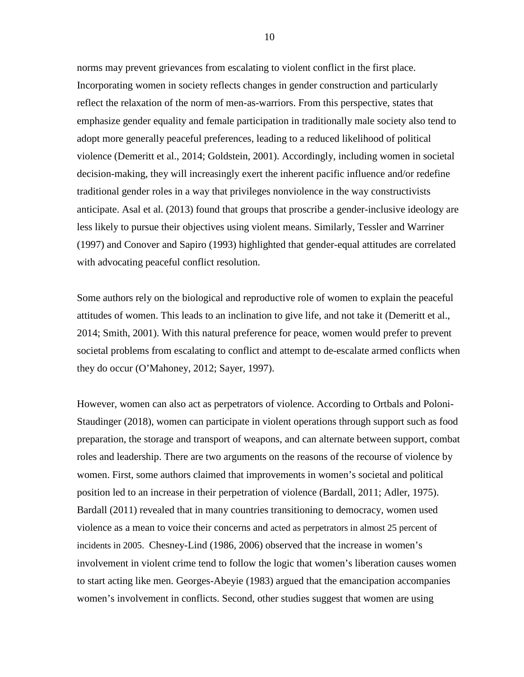norms may prevent grievances from escalating to violent conflict in the first place. Incorporating women in society reflects changes in gender construction and particularly reflect the relaxation of the norm of men-as-warriors. From this perspective, states that emphasize gender equality and female participation in traditionally male society also tend to adopt more generally peaceful preferences, leading to a reduced likelihood of political violence (Demeritt et al., 2014; Goldstein, 2001). Accordingly, including women in societal decision-making, they will increasingly exert the inherent pacific influence and/or redefine traditional gender roles in a way that privileges nonviolence in the way constructivists anticipate. Asal et al. (2013) found that groups that proscribe a gender-inclusive ideology are less likely to pursue their objectives using violent means. Similarly, Tessler and Warriner (1997) and Conover and Sapiro (1993) highlighted that gender-equal attitudes are correlated with advocating peaceful conflict resolution.

Some authors rely on the biological and reproductive role of women to explain the peaceful attitudes of women. This leads to an inclination to give life, and not take it (Demeritt et al., 2014; Smith, 2001). With this natural preference for peace, women would prefer to prevent societal problems from escalating to conflict and attempt to de-escalate armed conflicts when they do occur (O'Mahoney, 2012; Sayer, 1997).

However, women can also act as perpetrators of violence. According to Ortbals and Poloni-Staudinger (2018), women can participate in violent operations through support such as food preparation, the storage and transport of weapons, and can alternate between support, combat roles and leadership. There are two arguments on the reasons of the recourse of violence by women. First, some authors claimed that improvements in women's societal and political position led to an increase in their perpetration of violence (Bardall, 2011; Adler, 1975). Bardall (2011) revealed that in many countries transitioning to democracy, women used violence as a mean to voice their concerns and acted as perpetrators in almost 25 percent of incidents in 2005. Chesney-Lind (1986, 2006) observed that the increase in women's involvement in violent crime tend to follow the logic that women's liberation causes women to start acting like men. Georges-Abeyie (1983) argued that the emancipation accompanies women's involvement in conflicts. Second, other studies suggest that women are using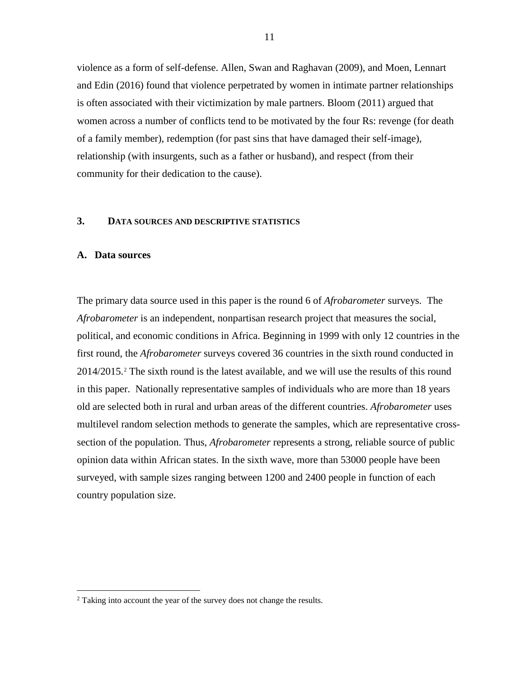violence as a form of self-defense. Allen, Swan and Raghavan (2009), and Moen, Lennart and Edin (2016) found that violence perpetrated by women in intimate partner relationships is often associated with their victimization by male partners. Bloom (2011) argued that women across a number of conflicts tend to be motivated by the four Rs: revenge (for death of a family member), redemption (for past sins that have damaged their self-image), relationship (with insurgents, such as a father or husband), and respect (from their community for their dedication to the cause).

# <span id="page-10-0"></span>**3. DATA SOURCES AND DESCRIPTIVE STATISTICS**

#### <span id="page-10-1"></span>**A. Data sources**

The primary data source used in this paper is the round 6 of *Afrobarometer* surveys. The *Afrobarometer* is an independent, nonpartisan research project that measures the social, political, and economic conditions in Africa. Beginning in 1999 with only 12 countries in the first round, the *Afrobarometer* surveys covered 36 countries in the sixth round conducted in 2014/2015.[2](#page-10-2) The sixth round is the latest available, and we will use the results of this round in this paper. Nationally representative samples of individuals who are more than 18 years old are selected both in rural and urban areas of the different countries. *Afrobarometer* uses multilevel random selection methods to generate the samples, which are representative crosssection of the population. Thus, *Afrobarometer* represents a strong, reliable source of public opinion data within African states. In the sixth wave, more than 53000 people have been surveyed, with sample sizes ranging between 1200 and 2400 people in function of each country population size.

<span id="page-10-2"></span><sup>&</sup>lt;sup>2</sup> Taking into account the year of the survey does not change the results.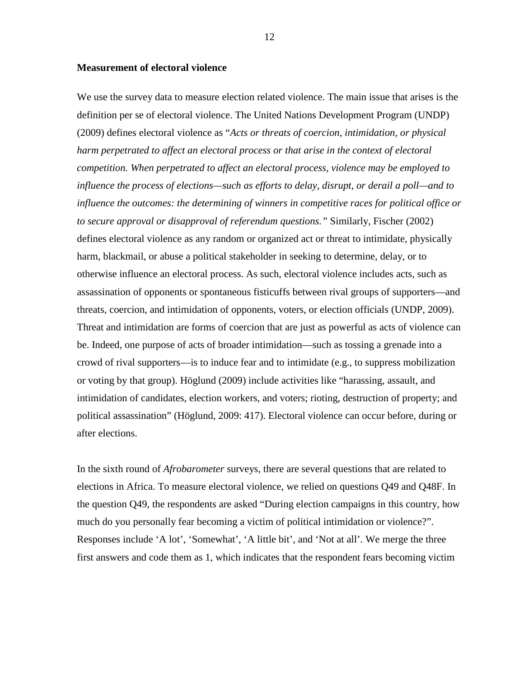# **Measurement of electoral violence**

We use the survey data to measure election related violence. The main issue that arises is the definition per se of electoral violence. The United Nations Development Program (UNDP) (2009) defines electoral violence as "*Acts or threats of coercion, intimidation, or physical harm perpetrated to affect an electoral process or that arise in the context of electoral competition. When perpetrated to affect an electoral process, violence may be employed to influence the process of elections—such as efforts to delay, disrupt, or derail a poll—and to influence the outcomes: the determining of winners in competitive races for political office or to secure approval or disapproval of referendum questions."* Similarly, Fischer (2002) defines electoral violence as any random or organized act or threat to intimidate, physically harm, blackmail, or abuse a political stakeholder in seeking to determine, delay, or to otherwise influence an electoral process. As such, electoral violence includes acts, such as assassination of opponents or spontaneous fisticuffs between rival groups of supporters—and threats, coercion, and intimidation of opponents, voters, or election officials (UNDP, 2009). Threat and intimidation are forms of coercion that are just as powerful as acts of violence can be. Indeed, one purpose of acts of broader intimidation—such as tossing a grenade into a crowd of rival supporters—is to induce fear and to intimidate (e.g., to suppress mobilization or voting by that group). Höglund (2009) include activities like "harassing, assault, and intimidation of candidates, election workers, and voters; rioting, destruction of property; and political assassination" (Höglund, 2009: 417). Electoral violence can occur before, during or after elections.

In the sixth round of *Afrobarometer* surveys, there are several questions that are related to elections in Africa. To measure electoral violence, we relied on questions Q49 and Q48F. In the question Q49, the respondents are asked "During election campaigns in this country, how much do you personally fear becoming a victim of political intimidation or violence?". Responses include 'A lot', 'Somewhat', 'A little bit', and 'Not at all'. We merge the three first answers and code them as 1, which indicates that the respondent fears becoming victim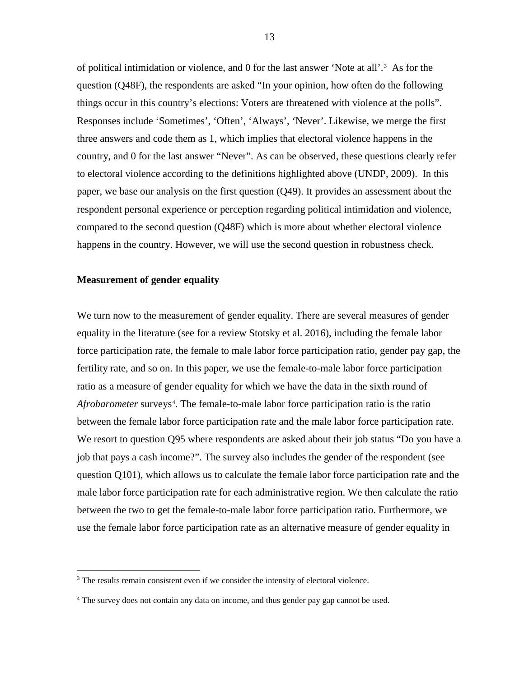of political intimidation or violence, and 0 for the last answer 'Note at all'.[3](#page-12-0) As for the question (Q48F), the respondents are asked "In your opinion, how often do the following things occur in this country's elections: Voters are threatened with violence at the polls". Responses include 'Sometimes', 'Often', 'Always', 'Never'. Likewise, we merge the first three answers and code them as 1, which implies that electoral violence happens in the country, and 0 for the last answer "Never". As can be observed, these questions clearly refer to electoral violence according to the definitions highlighted above (UNDP, 2009). In this paper, we base our analysis on the first question (Q49). It provides an assessment about the respondent personal experience or perception regarding political intimidation and violence, compared to the second question (Q48F) which is more about whether electoral violence happens in the country. However, we will use the second question in robustness check.

# **Measurement of gender equality**

We turn now to the measurement of gender equality. There are several measures of gender equality in the literature (see for a review Stotsky et al. 2016), including the female labor force participation rate, the female to male labor force participation ratio, gender pay gap, the fertility rate, and so on. In this paper, we use the female-to-male labor force participation ratio as a measure of gender equality for which we have the data in the sixth round of Afrobarometer surveys<sup>[4](#page-12-1)</sup>. The female-to-male labor force participation ratio is the ratio between the female labor force participation rate and the male labor force participation rate. We resort to question Q95 where respondents are asked about their job status "Do you have a job that pays a cash income?". The survey also includes the gender of the respondent (see question Q101), which allows us to calculate the female labor force participation rate and the male labor force participation rate for each administrative region. We then calculate the ratio between the two to get the female-to-male labor force participation ratio. Furthermore, we use the female labor force participation rate as an alternative measure of gender equality in

<span id="page-12-0"></span> $3$  The results remain consistent even if we consider the intensity of electoral violence.

<span id="page-12-1"></span><sup>&</sup>lt;sup>4</sup> The survey does not contain any data on income, and thus gender pay gap cannot be used.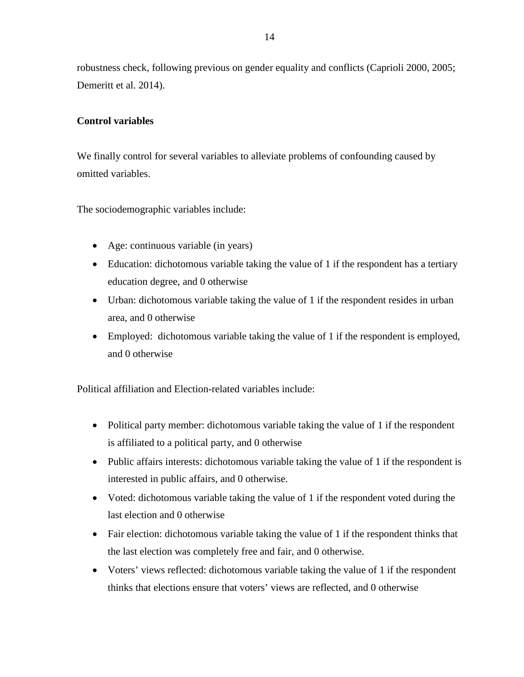robustness check, following previous on gender equality and conflicts (Caprioli 2000, 2005; Demeritt et al. 2014).

# **Control variables**

We finally control for several variables to alleviate problems of confounding caused by omitted variables.

The sociodemographic variables include:

- Age: continuous variable (in years)
- Education: dichotomous variable taking the value of 1 if the respondent has a tertiary education degree, and 0 otherwise
- Urban: dichotomous variable taking the value of 1 if the respondent resides in urban area, and 0 otherwise
- Employed: dichotomous variable taking the value of 1 if the respondent is employed, and 0 otherwise

Political affiliation and Election-related variables include:

- Political party member: dichotomous variable taking the value of 1 if the respondent is affiliated to a political party, and 0 otherwise
- Public affairs interests: dichotomous variable taking the value of 1 if the respondent is interested in public affairs, and 0 otherwise.
- Voted: dichotomous variable taking the value of 1 if the respondent voted during the last election and 0 otherwise
- Fair election: dichotomous variable taking the value of 1 if the respondent thinks that the last election was completely free and fair, and 0 otherwise.
- Voters' views reflected: dichotomous variable taking the value of 1 if the respondent thinks that elections ensure that voters' views are reflected, and 0 otherwise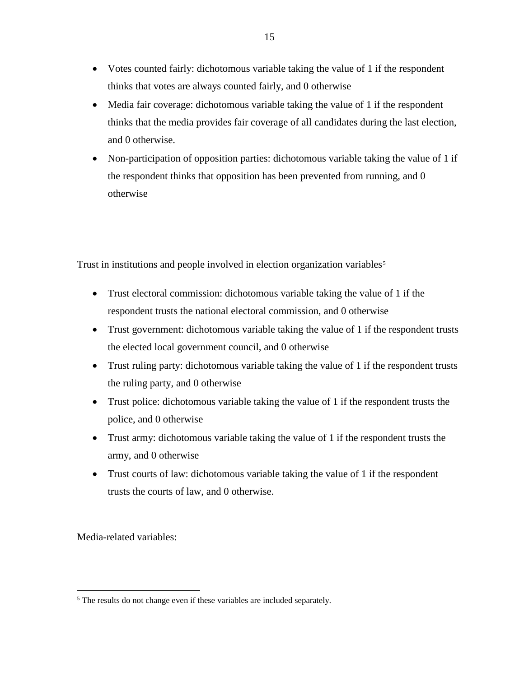- Votes counted fairly: dichotomous variable taking the value of 1 if the respondent thinks that votes are always counted fairly, and 0 otherwise
- Media fair coverage: dichotomous variable taking the value of 1 if the respondent thinks that the media provides fair coverage of all candidates during the last election, and 0 otherwise.
- Non-participation of opposition parties: dichotomous variable taking the value of 1 if the respondent thinks that opposition has been prevented from running, and 0 otherwise

Trust in institutions and people involved in election organization variables<sup>[5](#page-14-0)</sup>

- Trust electoral commission: dichotomous variable taking the value of 1 if the respondent trusts the national electoral commission, and 0 otherwise
- Trust government: dichotomous variable taking the value of 1 if the respondent trusts the elected local government council, and 0 otherwise
- Trust ruling party: dichotomous variable taking the value of 1 if the respondent trusts the ruling party, and 0 otherwise
- Trust police: dichotomous variable taking the value of 1 if the respondent trusts the police, and 0 otherwise
- Trust army: dichotomous variable taking the value of 1 if the respondent trusts the army, and 0 otherwise
- Trust courts of law: dichotomous variable taking the value of 1 if the respondent trusts the courts of law, and 0 otherwise.

Media-related variables:

<span id="page-14-0"></span><sup>&</sup>lt;sup>5</sup> The results do not change even if these variables are included separately.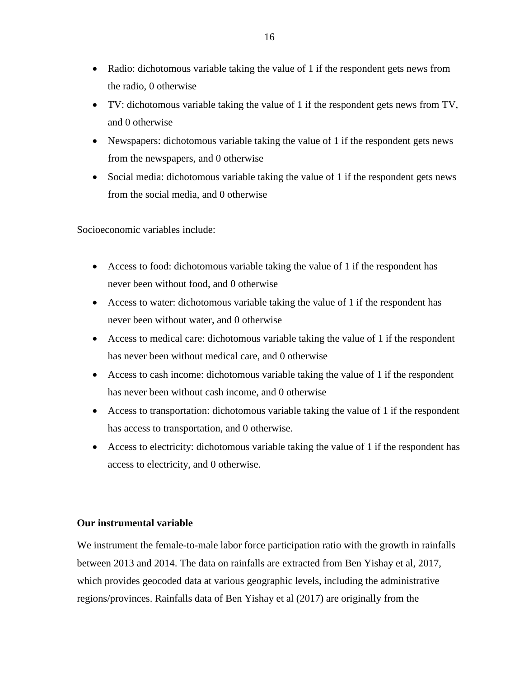- Radio: dichotomous variable taking the value of 1 if the respondent gets news from the radio, 0 otherwise
- TV: dichotomous variable taking the value of 1 if the respondent gets news from TV, and 0 otherwise
- Newspapers: dichotomous variable taking the value of 1 if the respondent gets news from the newspapers, and 0 otherwise
- Social media: dichotomous variable taking the value of 1 if the respondent gets news from the social media, and 0 otherwise

Socioeconomic variables include:

- Access to food: dichotomous variable taking the value of 1 if the respondent has never been without food, and 0 otherwise
- Access to water: dichotomous variable taking the value of 1 if the respondent has never been without water, and 0 otherwise
- Access to medical care: dichotomous variable taking the value of 1 if the respondent has never been without medical care, and 0 otherwise
- Access to cash income: dichotomous variable taking the value of 1 if the respondent has never been without cash income, and 0 otherwise
- Access to transportation: dichotomous variable taking the value of 1 if the respondent has access to transportation, and 0 otherwise.
- Access to electricity: dichotomous variable taking the value of 1 if the respondent has access to electricity, and 0 otherwise.

# **Our instrumental variable**

We instrument the female-to-male labor force participation ratio with the growth in rainfalls between 2013 and 2014. The data on rainfalls are extracted from Ben Yishay et al, 2017, which provides geocoded data at various geographic levels, including the administrative regions/provinces. Rainfalls data of Ben Yishay et al (2017) are originally from the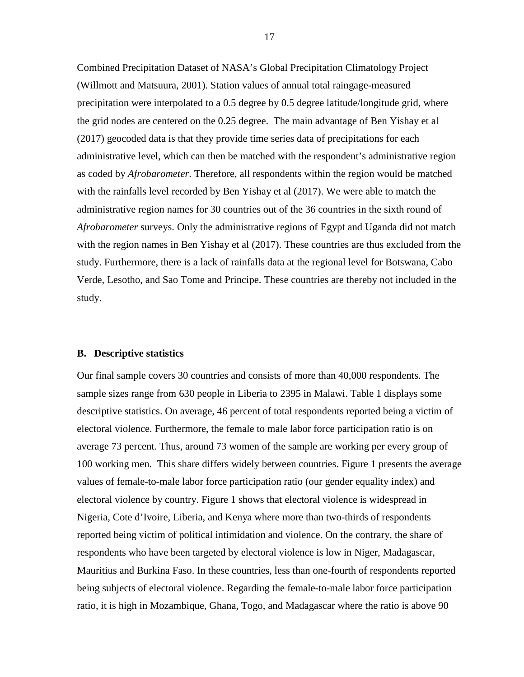Combined Precipitation Dataset of NASA's Global Precipitation Climatology Project (Willmott and Matsuura, 2001). Station values of annual total raingage-measured precipitation were interpolated to a 0.5 degree by 0.5 degree latitude/longitude grid, where the grid nodes are centered on the 0.25 degree. The main advantage of Ben Yishay et al (2017) geocoded data is that they provide time series data of precipitations for each administrative level, which can then be matched with the respondent's administrative region as coded by *Afrobarometer*. Therefore, all respondents within the region would be matched with the rainfalls level recorded by Ben Yishay et al (2017). We were able to match the administrative region names for 30 countries out of the 36 countries in the sixth round of *Afrobarometer* surveys. Only the administrative regions of Egypt and Uganda did not match with the region names in Ben Yishay et al (2017). These countries are thus excluded from the study. Furthermore, there is a lack of rainfalls data at the regional level for Botswana, Cabo Verde, Lesotho, and Sao Tome and Principe. These countries are thereby not included in the study.

### <span id="page-16-0"></span>**B. Descriptive statistics**

Our final sample covers 30 countries and consists of more than 40,000 respondents. The sample sizes range from 630 people in Liberia to 2395 in Malawi. Table 1 displays some descriptive statistics. On average, 46 percent of total respondents reported being a victim of electoral violence. Furthermore, the female to male labor force participation ratio is on average 73 percent. Thus, around 73 women of the sample are working per every group of 100 working men. This share differs widely between countries. Figure 1 presents the average values of female-to-male labor force participation ratio (our gender equality index) and electoral violence by country. Figure 1 shows that electoral violence is widespread in Nigeria, Cote d'Ivoire, Liberia, and Kenya where more than two-thirds of respondents reported being victim of political intimidation and violence. On the contrary, the share of respondents who have been targeted by electoral violence is low in Niger, Madagascar, Mauritius and Burkina Faso. In these countries, less than one-fourth of respondents reported being subjects of electoral violence. Regarding the female-to-male labor force participation ratio, it is high in Mozambique, Ghana, Togo, and Madagascar where the ratio is above 90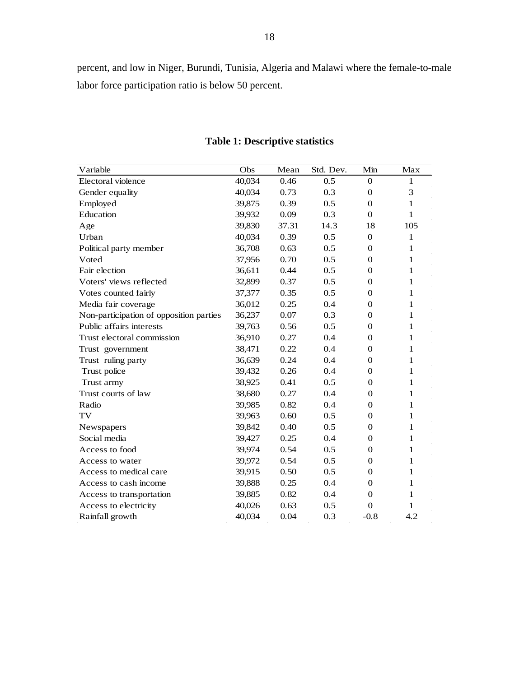percent, and low in Niger, Burundi, Tunisia, Algeria and Malawi where the female-to-male labor force participation ratio is below 50 percent.

<span id="page-17-0"></span>

| Variable                                | Obs    | Mean  | Std. Dev. | Min              | Max          |
|-----------------------------------------|--------|-------|-----------|------------------|--------------|
| Electoral violence                      | 40,034 | 0.46  | 0.5       | $\mathbf{0}$     | 1            |
| Gender equality                         | 40,034 | 0.73  | 0.3       | $\overline{0}$   | 3            |
| Employed                                | 39,875 | 0.39  | 0.5       | $\theta$         | $\mathbf{1}$ |
| Education                               | 39,932 | 0.09  | 0.3       | $\Omega$         | 1            |
| Age                                     | 39,830 | 37.31 | 14.3      | 18               | 105          |
| Urban                                   | 40,034 | 0.39  | 0.5       | $\theta$         | $\mathbf{1}$ |
| Political party member                  | 36,708 | 0.63  | 0.5       | $\theta$         | $\mathbf{1}$ |
| Voted                                   | 37,956 | 0.70  | 0.5       | $\Omega$         | 1            |
| Fair election                           | 36,611 | 0.44  | 0.5       | $\theta$         | $\mathbf{1}$ |
| Voters' views reflected                 | 32,899 | 0.37  | 0.5       | $\boldsymbol{0}$ | 1            |
| Votes counted fairly                    | 37,377 | 0.35  | 0.5       | $\Omega$         | 1            |
| Media fair coverage                     | 36,012 | 0.25  | 0.4       | $\Omega$         | $\mathbf{1}$ |
| Non-participation of opposition parties | 36,237 | 0.07  | 0.3       | $\Omega$         | 1            |
| Public affairs interests                | 39,763 | 0.56  | 0.5       | $\theta$         | 1            |
| Trust electoral commission              | 36,910 | 0.27  | 0.4       | $\Omega$         | $\mathbf{1}$ |
| Trust government                        | 38,471 | 0.22  | 0.4       | $\theta$         | 1            |
| Trust ruling party                      | 36,639 | 0.24  | 0.4       | $\Omega$         | 1            |
| Trust police                            | 39,432 | 0.26  | 0.4       | $\Omega$         | $\mathbf{1}$ |
| Trust army                              | 38,925 | 0.41  | 0.5       | $\Omega$         | 1            |
| Trust courts of law                     | 38,680 | 0.27  | 0.4       | $\theta$         | 1            |
| Radio                                   | 39,985 | 0.82  | 0.4       | $\Omega$         | 1            |
| TV                                      | 39,963 | 0.60  | 0.5       | $\theta$         | 1            |
| Newspapers                              | 39,842 | 0.40  | 0.5       | $\Omega$         | 1            |
| Social media                            | 39,427 | 0.25  | 0.4       | $\theta$         | 1            |
| Access to food                          | 39,974 | 0.54  | 0.5       | $\overline{0}$   | 1            |
| Access to water                         | 39,972 | 0.54  | 0.5       | $\mathbf{0}$     | 1            |
| Access to medical care                  | 39,915 | 0.50  | 0.5       | $\mathbf{0}$     | 1            |
| Access to cash income                   | 39,888 | 0.25  | 0.4       | $\theta$         | 1            |
| Access to transportation                | 39,885 | 0.82  | 0.4       | $\Omega$         | 1            |
| Access to electricity                   | 40,026 | 0.63  | 0.5       | $\Omega$         | 1            |
| Rainfall growth                         | 40,034 | 0.04  | 0.3       | $-0.8$           | 4.2          |

# **Table 1: Descriptive statistics**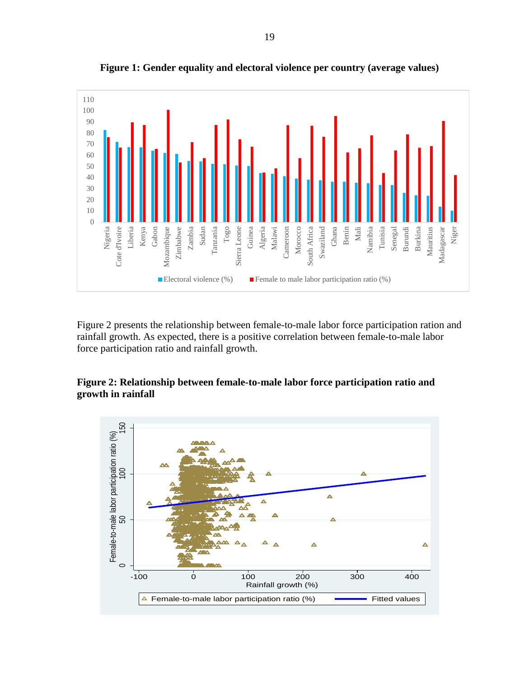<span id="page-18-0"></span>

**Figure 1: Gender equality and electoral violence per country (average values)**

Figure 2 presents the relationship between female-to-male labor force participation ration and rainfall growth. As expected, there is a positive correlation between female-to-male labor force participation ratio and rainfall growth.

# <span id="page-18-1"></span>**Figure 2: Relationship between female-to-male labor force participation ratio and growth in rainfall**

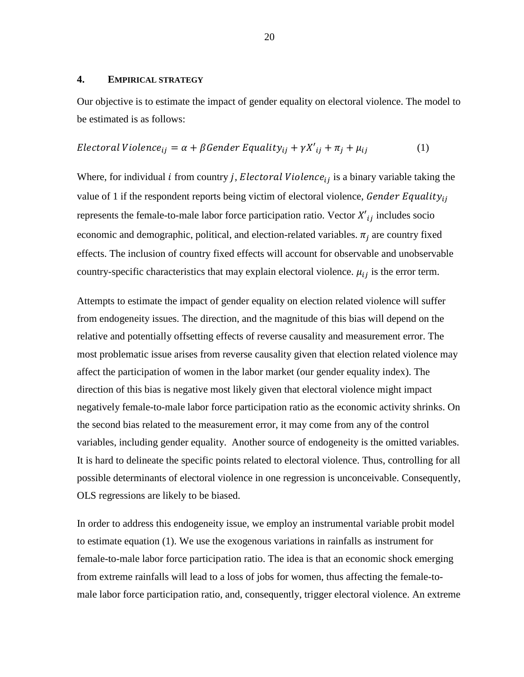## <span id="page-19-0"></span>**4. EMPIRICAL STRATEGY**

Our objective is to estimate the impact of gender equality on electoral violence. The model to be estimated is as follows:

Electoral Violence<sub>ij</sub> = 
$$
\alpha + \beta
$$
 *Gender Equality*<sub>ij</sub> +  $\gamma X'$ <sub>ij</sub> +  $\pi_j + \mu_{ij}$  (1)

Where, for individual *i* from country *j*, *Electoral Violence*<sub>ij</sub> is a binary variable taking the value of 1 if the respondent reports being victim of electoral violence, Gender Equality $_{ij}$ represents the female-to-male labor force participation ratio. Vector  $X'_{ij}$  includes socio economic and demographic, political, and election-related variables.  $\pi_i$  are country fixed effects. The inclusion of country fixed effects will account for observable and unobservable country-specific characteristics that may explain electoral violence.  $\mu_{ij}$  is the error term.

Attempts to estimate the impact of gender equality on election related violence will suffer from endogeneity issues. The direction, and the magnitude of this bias will depend on the relative and potentially offsetting effects of reverse causality and measurement error. The most problematic issue arises from reverse causality given that election related violence may affect the participation of women in the labor market (our gender equality index). The direction of this bias is negative most likely given that electoral violence might impact negatively female-to-male labor force participation ratio as the economic activity shrinks. On the second bias related to the measurement error, it may come from any of the control variables, including gender equality. Another source of endogeneity is the omitted variables. It is hard to delineate the specific points related to electoral violence. Thus, controlling for all possible determinants of electoral violence in one regression is unconceivable. Consequently, OLS regressions are likely to be biased.

In order to address this endogeneity issue, we employ an instrumental variable probit model to estimate equation (1). We use the exogenous variations in rainfalls as instrument for female-to-male labor force participation ratio. The idea is that an economic shock emerging from extreme rainfalls will lead to a loss of jobs for women, thus affecting the female-tomale labor force participation ratio, and, consequently, trigger electoral violence. An extreme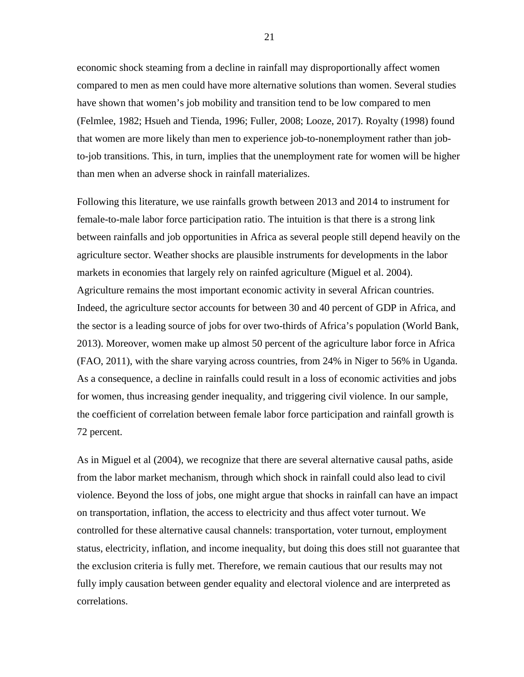economic shock steaming from a decline in rainfall may disproportionally affect women compared to men as men could have more alternative solutions than women. Several studies have shown that women's job mobility and transition tend to be low compared to men (Felmlee, 1982; Hsueh and Tienda, 1996; Fuller, 2008; Looze, 2017). Royalty (1998) found that women are more likely than men to experience job-to-nonemployment rather than jobto-job transitions. This, in turn, implies that the unemployment rate for women will be higher than men when an adverse shock in rainfall materializes.

Following this literature, we use rainfalls growth between 2013 and 2014 to instrument for female-to-male labor force participation ratio. The intuition is that there is a strong link between rainfalls and job opportunities in Africa as several people still depend heavily on the agriculture sector. Weather shocks are plausible instruments for developments in the labor markets in economies that largely rely on rainfed agriculture (Miguel et al. 2004). Agriculture remains the most important economic activity in several African countries. Indeed, the agriculture sector accounts for between 30 and 40 percent of GDP in Africa, and the sector is a leading source of jobs for over two-thirds of Africa's population (World Bank, 2013). Moreover, women make up almost 50 percent of the agriculture labor force in Africa (FAO, 2011), with the share varying across countries, from 24% in Niger to 56% in Uganda. As a consequence, a decline in rainfalls could result in a loss of economic activities and jobs for women, thus increasing gender inequality, and triggering civil violence. In our sample, the coefficient of correlation between female labor force participation and rainfall growth is 72 percent.

As in Miguel et al (2004), we recognize that there are several alternative causal paths, aside from the labor market mechanism, through which shock in rainfall could also lead to civil violence. Beyond the loss of jobs, one might argue that shocks in rainfall can have an impact on transportation, inflation, the access to electricity and thus affect voter turnout. We controlled for these alternative causal channels: transportation, voter turnout, employment status, electricity, inflation, and income inequality, but doing this does still not guarantee that the exclusion criteria is fully met. Therefore, we remain cautious that our results may not fully imply causation between gender equality and electoral violence and are interpreted as correlations.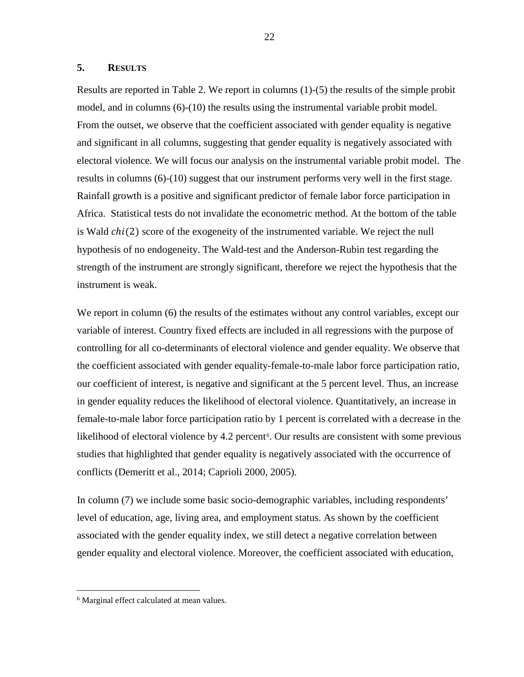# <span id="page-21-0"></span>**5. RESULTS**

Results are reported in Table 2. We report in columns (1)-(5) the results of the simple probit model, and in columns (6)-(10) the results using the instrumental variable probit model. From the outset, we observe that the coefficient associated with gender equality is negative and significant in all columns, suggesting that gender equality is negatively associated with electoral violence. We will focus our analysis on the instrumental variable probit model. The results in columns (6)-(10) suggest that our instrument performs very well in the first stage. Rainfall growth is a positive and significant predictor of female labor force participation in Africa. Statistical tests do not invalidate the econometric method. At the bottom of the table is Wald  $chi(2)$  score of the exogeneity of the instrumented variable. We reject the null hypothesis of no endogeneity. The Wald-test and the Anderson-Rubin test regarding the strength of the instrument are strongly significant, therefore we reject the hypothesis that the instrument is weak.

We report in column (6) the results of the estimates without any control variables, except our variable of interest. Country fixed effects are included in all regressions with the purpose of controlling for all co-determinants of electoral violence and gender equality. We observe that the coefficient associated with gender equality-female-to-male labor force participation ratio, our coefficient of interest, is negative and significant at the 5 percent level. Thus, an increase in gender equality reduces the likelihood of electoral violence. Quantitatively, an increase in female-to-male labor force participation ratio by 1 percent is correlated with a decrease in the likelihood of electoral violence by 4.2 percent<sup>[6](#page-21-1)</sup>. Our results are consistent with some previous studies that highlighted that gender equality is negatively associated with the occurrence of conflicts (Demeritt et al., 2014; Caprioli 2000, 2005).

In column (7) we include some basic socio-demographic variables, including respondents' level of education, age, living area, and employment status. As shown by the coefficient associated with the gender equality index, we still detect a negative correlation between gender equality and electoral violence. Moreover, the coefficient associated with education,

<span id="page-21-1"></span><sup>&</sup>lt;sup>6</sup> Marginal effect calculated at mean values.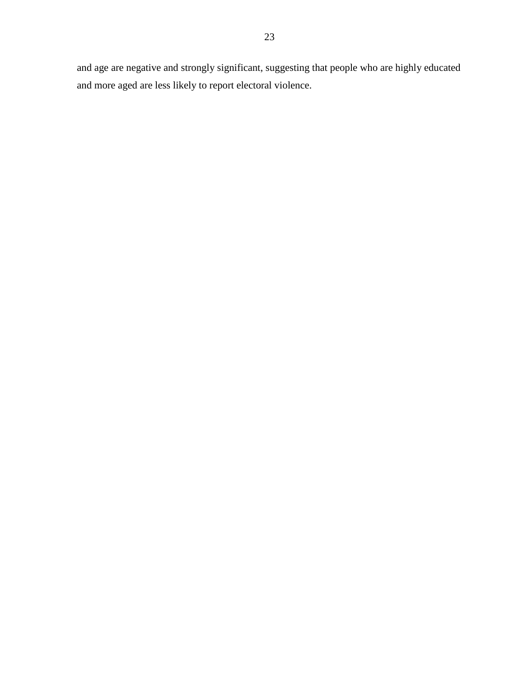and age are negative and strongly significant, suggesting that people who are highly educated and more aged are less likely to report electoral violence.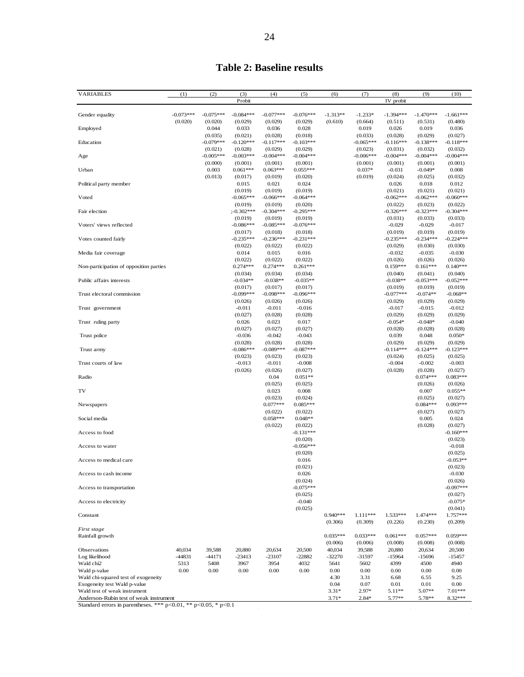# **Table 2: Baseline results**

<span id="page-23-0"></span>

| <b>VARIABLES</b>                                    | (1)         | (2)              | (3)<br>Probit           | (4)                    | (5)                    | (6)          | (7)                 | (8)<br>IV probit       | (9)                    | (10)                   |
|-----------------------------------------------------|-------------|------------------|-------------------------|------------------------|------------------------|--------------|---------------------|------------------------|------------------------|------------------------|
|                                                     |             |                  |                         |                        |                        |              |                     |                        |                        |                        |
| Gender equality                                     | $-0.073***$ | $-0.075***$      | $-0.084***$             | $-0.077***$            | $-0.076***$            | $-1.313**$   | $-1.233*$           | $-1.394***$            | $-1.470***$            | $-1.661***$            |
|                                                     | (0.020)     | (0.020)          | (0.029)                 | (0.029)                | (0.029)                | (0.610)      | (0.664)             | (0.511)                | (0.531)                | (0.480)                |
| Employed                                            |             | 0.044<br>(0.035) | 0.033<br>(0.021)        | 0.036<br>(0.028)       | 0.028<br>(0.018)       |              | 0.019<br>(0.033)    | 0.026<br>(0.028)       | 0.019<br>(0.029)       | 0.036<br>(0.027)       |
| Education                                           |             | $-0.079***$      | $-0.120***$             | $-0.117***$            | $-0.103***$            |              | $-0.065***$         | $-0.116***$            | $-0.138***$            | $-0.118***$            |
|                                                     |             | (0.021)          | (0.028)                 | (0.029)                | (0.029)                |              | (0.023)             | (0.031)                | (0.032)                | (0.032)                |
| Age                                                 |             | $-0.005***$      | $-0.003***$             | $-0.004***$            | $-0.004***$            |              | $-0.006***$         | $-0.004***$            | $-0.004***$            | $-0.004***$            |
| Urban                                               |             | (0.000)<br>0.003 | (0.001)<br>$0.061***$   | (0.001)<br>$0.063***$  | (0.001)<br>$0.055***$  |              | (0.001)<br>$0.037*$ | (0.001)<br>$-0.031$    | (0.001)<br>$-0.049*$   | (0.001)<br>0.008       |
|                                                     |             | (0.013)          | (0.017)                 | (0.019)                | (0.020)                |              | (0.019)             | (0.024)                | (0.025)                | (0.032)                |
| Political party member                              |             |                  | 0.015                   | 0.021                  | 0.024                  |              |                     | 0.026                  | 0.018                  | 0.012                  |
|                                                     |             |                  | (0.019)                 | (0.019)                | (0.019)                |              |                     | (0.021)                | (0.021)                | (0.021)                |
| Voted                                               |             |                  | $-0.065***$             | $-0.066***$            | $-0.064***$<br>(0.020) |              |                     | $-0.062***$            | $-0.062***$            | $-0.060***$            |
| Fair election                                       |             |                  | (0.019)<br>$(-0.302***$ | (0.019)<br>$-0.304***$ | $-0.295***$            |              |                     | (0.022)<br>$-0.326***$ | (0.023)<br>$-0.323***$ | (0.022)<br>$-0.304***$ |
|                                                     |             |                  | (0.019)                 | (0.019)                | (0.019)                |              |                     | (0.031)                | (0.033)                | (0.033)                |
| Voters' views reflected                             |             |                  | $-0.086***$             | $-0.085***$            | $-0.076***$            |              |                     | $-0.029$               | $-0.029$               | $-0.017$               |
|                                                     |             |                  | (0.017)<br>$-0.235***$  | (0.018)                | (0.018)                |              |                     | (0.019)<br>$-0.235***$ | (0.019)                | (0.019)<br>$-0.224***$ |
| Votes counted fairly                                |             |                  | (0.022)                 | $-0.236***$<br>(0.022) | $-0.231***$<br>(0.022) |              |                     | (0.029)                | $-0.234***$<br>(0.030) | (0.030)                |
| Media fair coverage                                 |             |                  | 0.014                   | 0.015                  | 0.016                  |              |                     | $-0.032$               | $-0.035$               | $-0.030$               |
|                                                     |             |                  | (0.022)                 | (0.022)                | (0.022)                |              |                     | (0.026)                | (0.026)                | (0.026)                |
| Non-participation of opposition parties             |             |                  | $0.274***$              | $0.274***$             | $0.261***$             |              |                     | $0.159***$             | $0.161***$             | $0.140***$             |
| Public affairs interests                            |             |                  | (0.034)<br>$-0.034**$   | (0.034)<br>$-0.038**$  | (0.034)<br>$-0.035**$  |              |                     | (0.040)<br>$-0.038**$  | (0.041)<br>$-0.053***$ | (0.040)<br>$-0.052***$ |
|                                                     |             |                  | (0.017)                 | (0.017)                | (0.017)                |              |                     | (0.019)                | (0.019)                | (0.019)                |
| Trust electoral commission                          |             |                  | $-0.099***$             | $-0.098***$            | $-0.096***$            |              |                     | $-0.077***$            | $-0.074**$             | $-0.068**$             |
|                                                     |             |                  | (0.026)                 | (0.026)                | (0.026)                |              |                     | (0.029)                | (0.029)                | (0.029)                |
| Trust government                                    |             |                  | $-0.011$<br>(0.027)     | $-0.011$<br>(0.028)    | $-0.016$<br>(0.028)    |              |                     | $-0.017$<br>(0.029)    | $-0.015$<br>(0.029)    | $-0.012$<br>(0.029)    |
| Trust ruling party                                  |             |                  | 0.026                   | 0.023                  | 0.017                  |              |                     | $-0.054*$              | $-0.048*$              | $-0.040$               |
|                                                     |             |                  | (0.027)                 | (0.027)                | (0.027)                |              |                     | (0.028)                | (0.028)                | (0.028)                |
| Trust police                                        |             |                  | $-0.036$<br>(0.028)     | $-0.042$<br>(0.028)    | $-0.043$<br>(0.028)    |              |                     | 0.039<br>(0.029)       | 0.048<br>(0.029)       | $0.050*$<br>(0.029)    |
| Trust army                                          |             |                  | $-0.086***$             | $-0.089***$            | $-0.087***$            |              |                     | $-0.114***$            | $-0.124***$            | $-0.123***$            |
|                                                     |             |                  | (0.023)                 | (0.023)                | (0.023)                |              |                     | (0.024)                | (0.025)                | (0.025)                |
| Trust courts of law                                 |             |                  | $-0.013$                | $-0.011$               | $-0.008$               |              |                     | $-0.004$               | $-0.002$               | $-0.003$               |
| Radio                                               |             |                  | (0.026)                 | (0.026)<br>0.04        | (0.027)<br>$0.051**$   |              |                     | (0.028)                | (0.028)<br>$0.074***$  | (0.027)<br>$0.083***$  |
|                                                     |             |                  |                         | (0.025)                | (0.025)                |              |                     |                        | (0.026)                | (0.026)                |
| TV                                                  |             |                  |                         | 0.023                  | 0.008                  |              |                     |                        | 0.007                  | $0.055**$              |
|                                                     |             |                  |                         | (0.023)<br>$0.077***$  | (0.024)                |              |                     |                        | (0.025)<br>$0.084***$  | (0.027)                |
| Newspapers                                          |             |                  |                         | (0.022)                | $0.085***$<br>(0.022)  |              |                     |                        | (0.027)                | $0.093***$<br>(0.027)  |
| Social media                                        |             |                  |                         | $0.058***$             | $0.048**$              |              |                     |                        | 0.005                  | 0.024                  |
|                                                     |             |                  |                         | (0.022)                | (0.022)                |              |                     |                        | (0.028)                | (0.027)                |
| Access to food                                      |             |                  |                         |                        | $-0.131***$            |              |                     |                        |                        | $-0.160***$<br>(0.023) |
| Access to water                                     |             |                  |                         |                        | (0.020)<br>$-0.056***$ |              |                     |                        |                        | $-0.018$               |
|                                                     |             |                  |                         |                        | (0.020)                |              |                     |                        |                        | (0.025)                |
| Access to medical care                              |             |                  |                         |                        | 0.016                  |              |                     |                        |                        | $-0.053**$             |
| Access to cash income                               |             |                  |                         |                        | (0.021)<br>0.026       |              |                     |                        |                        | (0.023)<br>$-0.030$    |
|                                                     |             |                  |                         |                        | (0.024)                |              |                     |                        |                        | (0.026)                |
| Access to transportation                            |             |                  |                         |                        | $-0.075***$            |              |                     |                        |                        | $-0.097***$            |
|                                                     |             |                  |                         |                        | (0.025)                |              |                     |                        |                        | (0.027)                |
| Access to electricity                               |             |                  |                         |                        | $-0.040$<br>(0.025)    |              |                     |                        |                        | $-0.075*$<br>(0.041)   |
| Constant                                            |             |                  |                         |                        |                        | $0.940***$   | 1.111***            | 1.533***               | 1.474 ***              | 1.757***               |
|                                                     |             |                  |                         |                        |                        | (0.306)      | (0.309)             | (0.226)                | (0.230)                | (0.209)                |
| First stage                                         |             |                  |                         |                        |                        | $0.035***$   | $0.033***$          | $0.061***$             | $0.057***$             | $0.059***$             |
| Rainfall growth                                     |             |                  |                         |                        |                        | (0.006)      | (0.006)             | (0.008)                | (0.008)                | (0.008)                |
| Observations                                        | 40,034      | 39,588           | 20,880                  | 20,634                 | 20,500                 | 40,034       | 39,588              | 20,880                 | 20,634                 | 20,500                 |
| Log likelihood                                      | $-44831$    | -44171           | $-23413$                | $-23107$               | $-22882$               | $-32270$     | $-31597$            | $-15964$               | $-15696$               | $-15457$               |
| Wald chi2                                           | 5313        | 5408             | 3967                    | 3954                   | 4032                   | 5641         | 5602                | 4399                   | 4500                   | 4940                   |
| Wald p-value<br>Wald chi-squared test of exogeneity | 0.00        | 0.00             | 0.00                    | 0.00                   | 0.00                   | 0.00<br>4.30 | 0.00<br>3.31        | 0.00<br>6.68           | 0.00<br>6.55           | 0.00<br>9.25           |
| Exogeneity test Wald p-value                        |             |                  |                         |                        |                        | 0.04         | 0.07                | 0.01                   | 0.01                   | 0.00                   |
| Wald test of weak instrument                        |             |                  |                         |                        |                        | $3.31*$      | $2.97*$             | $5.11**$               | 5.07**                 | $7.01***$              |
| Anderson-Rubin test of weak instrument              |             |                  |                         |                        |                        | $3.71*$      | $2.84*$             | 5.77**                 | 5.78**                 | 8.32***                |

Standard errors in parentheses. \*\*\* p<0.01, \*\* p<0.05, \* p<0.1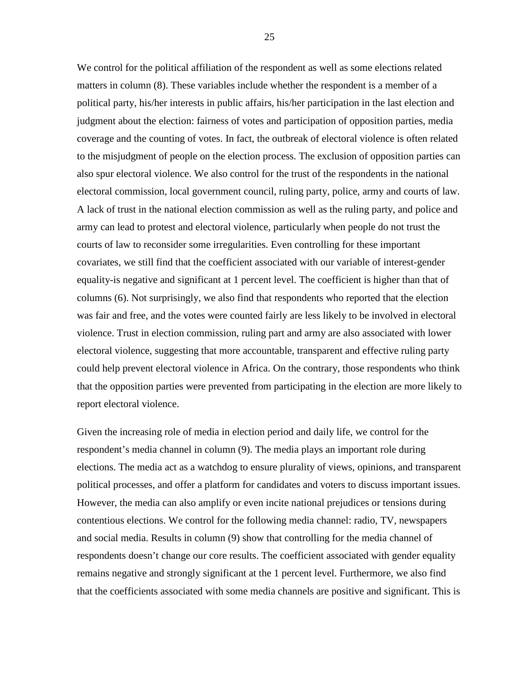We control for the political affiliation of the respondent as well as some elections related matters in column (8). These variables include whether the respondent is a member of a political party, his/her interests in public affairs, his/her participation in the last election and judgment about the election: fairness of votes and participation of opposition parties, media coverage and the counting of votes. In fact, the outbreak of electoral violence is often related to the misjudgment of people on the election process. The exclusion of opposition parties can also spur electoral violence. We also control for the trust of the respondents in the national electoral commission, local government council, ruling party, police, army and courts of law. A lack of trust in the national election commission as well as the ruling party, and police and army can lead to protest and electoral violence, particularly when people do not trust the courts of law to reconsider some irregularities. Even controlling for these important covariates, we still find that the coefficient associated with our variable of interest-gender equality-is negative and significant at 1 percent level. The coefficient is higher than that of columns (6). Not surprisingly, we also find that respondents who reported that the election was fair and free, and the votes were counted fairly are less likely to be involved in electoral violence. Trust in election commission, ruling part and army are also associated with lower electoral violence, suggesting that more accountable, transparent and effective ruling party could help prevent electoral violence in Africa. On the contrary, those respondents who think that the opposition parties were prevented from participating in the election are more likely to report electoral violence.

Given the increasing role of media in election period and daily life, we control for the respondent's media channel in column (9). The media plays an important role during elections. The media act as a watchdog to ensure plurality of views, opinions, and transparent political processes, and offer a platform for candidates and voters to discuss important issues. However, the media can also amplify or even incite national prejudices or tensions during contentious elections. We control for the following media channel: radio, TV, newspapers and social media. Results in column (9) show that controlling for the media channel of respondents doesn't change our core results. The coefficient associated with gender equality remains negative and strongly significant at the 1 percent level. Furthermore, we also find that the coefficients associated with some media channels are positive and significant. This is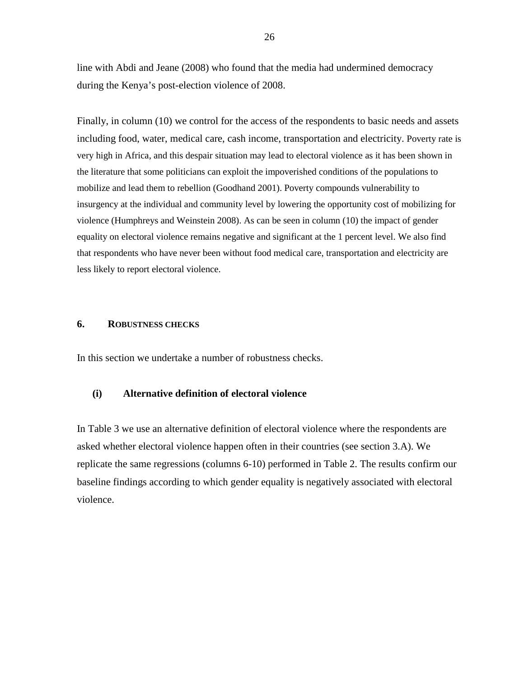line with Abdi and Jeane (2008) who found that the media had undermined democracy during the Kenya's post-election violence of 2008.

Finally, in column (10) we control for the access of the respondents to basic needs and assets including food, water, medical care, cash income, transportation and electricity. Poverty rate is very high in Africa, and this despair situation may lead to electoral violence as it has been shown in the literature that some politicians can exploit the impoverished conditions of the populations to mobilize and lead them to rebellion (Goodhand 2001). Poverty compounds vulnerability to insurgency at the individual and community level by lowering the opportunity cost of mobilizing for violence (Humphreys and Weinstein 2008). As can be seen in column (10) the impact of gender equality on electoral violence remains negative and significant at the 1 percent level. We also find that respondents who have never been without food medical care, transportation and electricity are less likely to report electoral violence.

# <span id="page-25-0"></span>**6. ROBUSTNESS CHECKS**

In this section we undertake a number of robustness checks.

# **(i) Alternative definition of electoral violence**

In Table 3 we use an alternative definition of electoral violence where the respondents are asked whether electoral violence happen often in their countries (see section 3.A). We replicate the same regressions (columns 6-10) performed in Table 2. The results confirm our baseline findings according to which gender equality is negatively associated with electoral violence.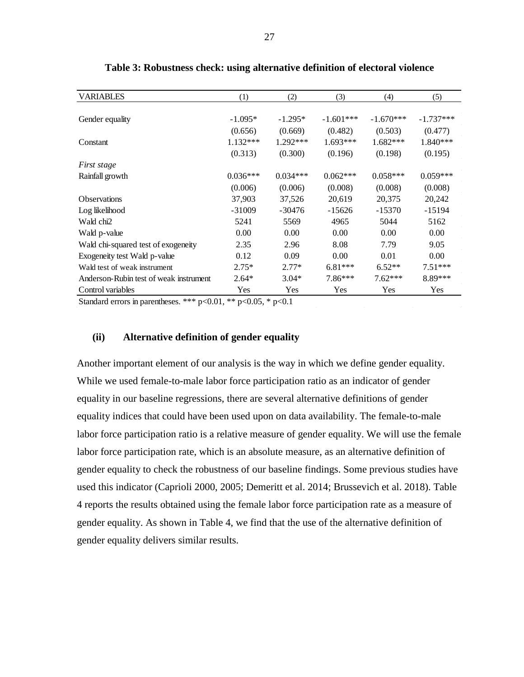<span id="page-26-0"></span>

| <b>VARIABLES</b>                       | (1)        | (2)        | (3)         | (4)         | (5)         |
|----------------------------------------|------------|------------|-------------|-------------|-------------|
|                                        |            |            |             |             |             |
| Gender equality                        | $-1.095*$  | $-1.295*$  | $-1.601***$ | $-1.670***$ | $-1.737***$ |
|                                        | (0.656)    | (0.669)    | (0.482)     | (0.503)     | (0.477)     |
| Constant                               | $1.132***$ | 1.292***   | 1.693***    | $1.682***$  | 1.840***    |
|                                        | (0.313)    | (0.300)    | (0.196)     | (0.198)     | (0.195)     |
| First stage                            |            |            |             |             |             |
| Rainfall growth                        | $0.036***$ | $0.034***$ | $0.062***$  | $0.058***$  | $0.059***$  |
|                                        | (0.006)    | (0.006)    | (0.008)     | (0.008)     | (0.008)     |
| <b>Observations</b>                    | 37,903     | 37,526     | 20,619      | 20,375      | 20,242      |
| Log likelihood                         | $-31009$   | $-30476$   | $-15626$    | $-15370$    | $-15194$    |
| Wald chi <sub>2</sub>                  | 5241       | 5569       | 4965        | 5044        | 5162        |
| Wald p-value                           | 0.00       | 0.00       | 0.00        | 0.00        | 0.00        |
| Wald chi-squared test of exogeneity    | 2.35       | 2.96       | 8.08        | 7.79        | 9.05        |
| Exogeneity test Wald p-value           | 0.12       | 0.09       | 0.00        | 0.01        | 0.00        |
| Wald test of weak instrument           | $2.75*$    | $2.77*$    | 6.81***     | $6.52**$    | $7.51***$   |
| Anderson-Rubin test of weak instrument | $2.64*$    | $3.04*$    | 7.86***     | $7.62***$   | 8.89***     |
| Control variables                      | Yes        | Yes        | Yes         | Yes         | Yes         |

**Table 3: Robustness check: using alternative definition of electoral violence**

Standard errors in parentheses. \*\*\*  $p<0.01$ , \*\*  $p<0.05$ , \*  $p<0.1$ 

#### **(ii) Alternative definition of gender equality**

Another important element of our analysis is the way in which we define gender equality. While we used female-to-male labor force participation ratio as an indicator of gender equality in our baseline regressions, there are several alternative definitions of gender equality indices that could have been used upon on data availability. The female-to-male labor force participation ratio is a relative measure of gender equality. We will use the female labor force participation rate, which is an absolute measure, as an alternative definition of gender equality to check the robustness of our baseline findings. Some previous studies have used this indicator (Caprioli 2000, 2005; Demeritt et al. 2014; Brussevich et al. 2018). Table 4 reports the results obtained using the female labor force participation rate as a measure of gender equality. As shown in Table 4, we find that the use of the alternative definition of gender equality delivers similar results.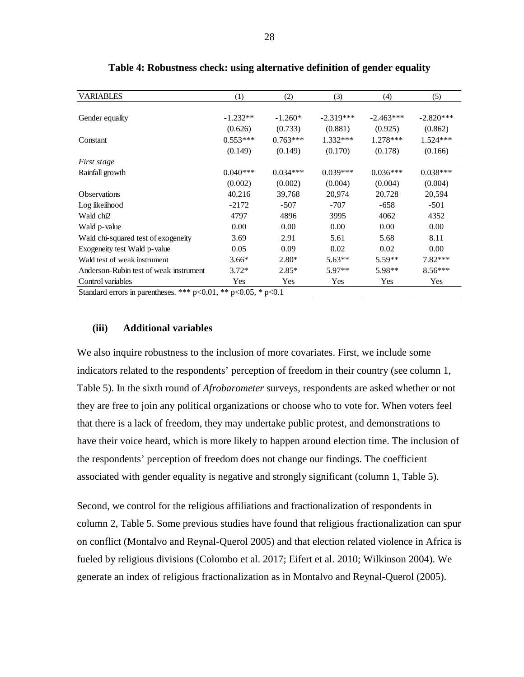<span id="page-27-0"></span>

| <b>VARIABLES</b>                       | (1)        | (2)        | (3)         | (4)         | (5)         |
|----------------------------------------|------------|------------|-------------|-------------|-------------|
|                                        |            |            |             |             |             |
| Gender equality                        | $-1.232**$ | $-1.260*$  | $-2.319***$ | $-2.463***$ | $-2.820***$ |
|                                        | (0.626)    | (0.733)    | (0.881)     | (0.925)     | (0.862)     |
| Constant                               | $0.553***$ | $0.763***$ | $1.332***$  | $1.278***$  | $1.524***$  |
|                                        | (0.149)    | (0.149)    | (0.170)     | (0.178)     | (0.166)     |
| First stage                            |            |            |             |             |             |
| Rainfall growth                        | $0.040***$ | $0.034***$ | $0.039***$  | $0.036***$  | $0.038***$  |
|                                        | (0.002)    | (0.002)    | (0.004)     | (0.004)     | (0.004)     |
| <b>Observations</b>                    | 40,216     | 39,768     | 20,974      | 20,728      | 20,594      |
| Log likelihood                         | $-2172$    | $-507$     | $-707$      | $-658$      | $-501$      |
| Wald chi2                              | 4797       | 4896       | 3995        | 4062        | 4352        |
| Wald p-value                           | 0.00       | 0.00       | 0.00        | 0.00        | 0.00        |
| Wald chi-squared test of exogeneity    | 3.69       | 2.91       | 5.61        | 5.68        | 8.11        |
| Exogeneity test Wald p-value           | 0.05       | 0.09       | 0.02        | 0.02        | 0.00        |
| Wald test of weak instrument           | $3.66*$    | $2.80*$    | $5.63**$    | $5.59**$    | $7.82***$   |
| Anderson-Rubin test of weak instrument | $3.72*$    | $2.85*$    | 5.97**      | $5.98**$    | $8.56***$   |
| Control variables                      | Yes        | Yes        | Yes         | Yes         | Yes         |

| Table 4: Robustness check: using alternative definition of gender equality |  |  |  |
|----------------------------------------------------------------------------|--|--|--|
|                                                                            |  |  |  |

Standard errors in parentheses. \*\*\*  $p<0.01$ , \*\*  $p<0.05$ , \*  $p<0.1$ 

# **(iii) Additional variables**

We also inquire robustness to the inclusion of more covariates. First, we include some indicators related to the respondents' perception of freedom in their country (see column 1, Table 5). In the sixth round of *Afrobarometer* surveys, respondents are asked whether or not they are free to join any political organizations or choose who to vote for. When voters feel that there is a lack of freedom, they may undertake public protest, and demonstrations to have their voice heard, which is more likely to happen around election time. The inclusion of the respondents' perception of freedom does not change our findings. The coefficient associated with gender equality is negative and strongly significant (column 1, Table 5).

Second, we control for the religious affiliations and fractionalization of respondents in column 2, Table 5. Some previous studies have found that religious fractionalization can spur on conflict (Montalvo and Reynal-Querol 2005) and that election related violence in Africa is fueled by religious divisions (Colombo et al. 2017; Eifert et al. 2010; Wilkinson 2004). We generate an index of religious fractionalization as in Montalvo and Reynal-Querol (2005).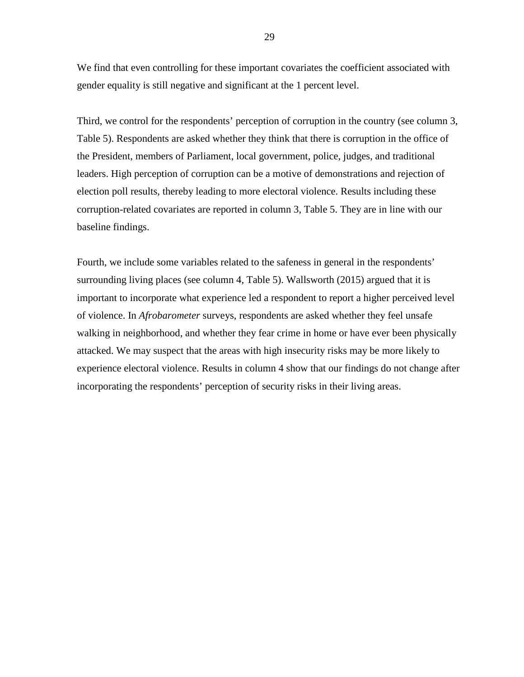We find that even controlling for these important covariates the coefficient associated with gender equality is still negative and significant at the 1 percent level.

Third, we control for the respondents' perception of corruption in the country (see column 3, Table 5). Respondents are asked whether they think that there is corruption in the office of the President, members of Parliament, local government, police, judges, and traditional leaders. High perception of corruption can be a motive of demonstrations and rejection of election poll results, thereby leading to more electoral violence. Results including these corruption-related covariates are reported in column 3, Table 5. They are in line with our baseline findings.

Fourth, we include some variables related to the safeness in general in the respondents' surrounding living places (see column 4, Table 5). Wallsworth (2015) argued that it is important to incorporate what experience led a respondent to report a higher perceived level of violence. In *Afrobarometer* surveys, respondents are asked whether they feel unsafe walking in neighborhood, and whether they fear crime in home or have ever been physically attacked. We may suspect that the areas with high insecurity risks may be more likely to experience electoral violence. Results in column 4 show that our findings do not change after incorporating the respondents' perception of security risks in their living areas.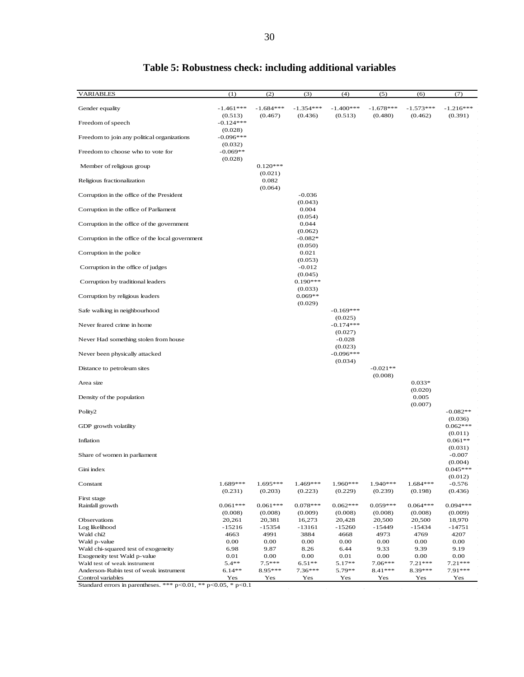<span id="page-29-0"></span>

| <b>VARIABLES</b>                                                                    | (1)                              | (2)                         | (3)                         | (4)                    | (5)         | (6)              | (7)                   |
|-------------------------------------------------------------------------------------|----------------------------------|-----------------------------|-----------------------------|------------------------|-------------|------------------|-----------------------|
| Gender equality                                                                     | $-1.461***$                      | $-1.684***$                 | $-1.354***$                 | $-1.400***$            | $-1.678***$ | $-1.573***$      | $-1.216***$           |
| Freedom of speech                                                                   | (0.513)<br>$-0.124***$           | (0.467)                     | (0.436)                     | (0.513)                | (0.480)     | (0.462)          | (0.391)               |
| Freedom to join any political organizations                                         | (0.028)<br>$-0.096***$           |                             |                             |                        |             |                  |                       |
| Freedom to choose who to vote for                                                   | (0.032)<br>$-0.069**$<br>(0.028) |                             |                             |                        |             |                  |                       |
| Member of religious group                                                           |                                  | $0.120***$                  |                             |                        |             |                  |                       |
| Religious fractionalization                                                         |                                  | (0.021)<br>0.082<br>(0.064) |                             |                        |             |                  | $\sim$                |
| Corruption in the office of the President                                           |                                  |                             | $-0.036$                    |                        |             |                  | $\sim$                |
| Corruption in the office of Parliament                                              |                                  |                             | (0.043)<br>0.004<br>(0.054) |                        |             |                  | $\sim$                |
| Corruption in the office of the government                                          |                                  |                             | 0.044<br>(0.062)            |                        |             |                  | $\sim$<br>$\sim$      |
| Corruption in the office of the local government                                    |                                  |                             | $-0.082*$<br>(0.050)        |                        |             |                  | $\sim$<br>$\sim$      |
| Corruption in the police                                                            |                                  |                             | 0.021<br>(0.053)            |                        |             |                  | $\alpha$<br>$\alpha$  |
| Corruption in the office of judges                                                  |                                  |                             | $-0.012$<br>(0.045)         |                        |             |                  | $\sim$<br>$\sim$      |
| Corruption by traditional leaders                                                   |                                  |                             | $0.190***$<br>(0.033)       |                        |             |                  | $\sim$<br>$\sim$      |
| Corruption by religious leaders                                                     |                                  |                             | $0.069**$<br>(0.029)        |                        |             |                  | $\bar{z}$<br>$\sim$   |
| Safe walking in neighbourhood                                                       |                                  |                             |                             | $-0.169***$            |             |                  | $\sim$<br>$\sim$      |
| Never feared crime in home                                                          |                                  |                             |                             | (0.025)<br>$-0.174***$ |             |                  | $\alpha$              |
| Never Had something stolen from house                                               |                                  |                             |                             | (0.027)<br>$-0.028$    |             |                  | $\sim$<br>$\sim$      |
| Never been physically attacked                                                      |                                  |                             |                             | (0.023)<br>$-0.096***$ |             |                  |                       |
| Distance to petroleum sites                                                         |                                  |                             |                             | (0.034)                | $-0.021**$  |                  |                       |
| Area size                                                                           |                                  |                             |                             |                        | (0.008)     | $0.033*$         |                       |
| Density of the population                                                           |                                  |                             |                             |                        |             | (0.020)<br>0.005 |                       |
| Polity2                                                                             |                                  |                             |                             |                        |             | (0.007)          | $-0.082**$            |
| GDP growth volatility                                                               |                                  |                             |                             |                        |             |                  | (0.036)<br>$0.062***$ |
| Inflation                                                                           |                                  |                             |                             |                        |             |                  | (0.011)<br>$0.061**$  |
| Share of women in parliament                                                        |                                  |                             |                             |                        |             |                  | (0.031)<br>$-0.007$   |
| Gini index                                                                          |                                  |                             |                             |                        |             |                  | (0.004)<br>$0.045***$ |
| Constant                                                                            | 1.689***                         | $1.695***$                  | 1.469***                    | 1.960***               | 1.940 ***   | $1.684***$       | (0.012)<br>$-0.576$   |
|                                                                                     | (0.231)                          | (0.203)                     | (0.223)                     | (0.229)                | (0.239)     | (0.198)          | (0.436)               |
| First stage<br>Rainfall growth                                                      | $0.061***$                       | $0.061***$                  | $0.078***$                  | $0.062***$             | $0.059***$  | $0.064***$       | $0.094***$            |
|                                                                                     | (0.008)                          | (0.008)                     | (0.009)                     | (0.008)                | (0.008)     | (0.008)          | (0.009)               |
| Observations                                                                        | 20,261                           | 20,381                      | 16,273                      | 20,428                 | 20,500      | 20,500           | 18,970                |
| Log likelihood                                                                      | -15216                           | $-15354$                    | $-13161$                    | $-15260$               | -15449      | -15434           | $-14751$              |
| Wald chi2                                                                           | 4663                             | 4991                        | 3884                        | 4668                   | 4973        | 4769             | 4207                  |
| Wald p-value                                                                        | 0.00                             | 0.00                        | 0.00                        | 0.00                   | 0.00        | 0.00             | 0.00                  |
| Wald chi-squared test of exogeneity                                                 | 6.98                             | 9.87                        | 8.26                        | 6.44                   | 9.33        | 9.39             | 9.19                  |
|                                                                                     | 0.01                             | 0.00                        | 0.00                        | 0.01                   | 0.00        | 0.00             | 0.00                  |
| Exogeneity test Wald p-value                                                        | $5.4**$                          | $7.5***$                    | $6.51**$                    | 5.17**                 | $7.06***$   | $7.21***$        | $7.21***$             |
| Wald test of weak instrument                                                        |                                  |                             |                             |                        |             |                  |                       |
| Anderson-Rubin test of weak instrument                                              | $6.14**$                         | 8.95***                     | $7.36***$                   | 5.79**                 | 8.41 ***    | 8.39***          | 7.91 ***              |
| Control variables<br>Standard errors in parentheses. *** p<0.01, ** p<0.05, * p<0.1 | Yes                              | Yes                         | <b>Yes</b>                  | <b>Yes</b>             | Yes         | Yes              | Yes                   |

# **Table 5: Robustness check: including additional variables**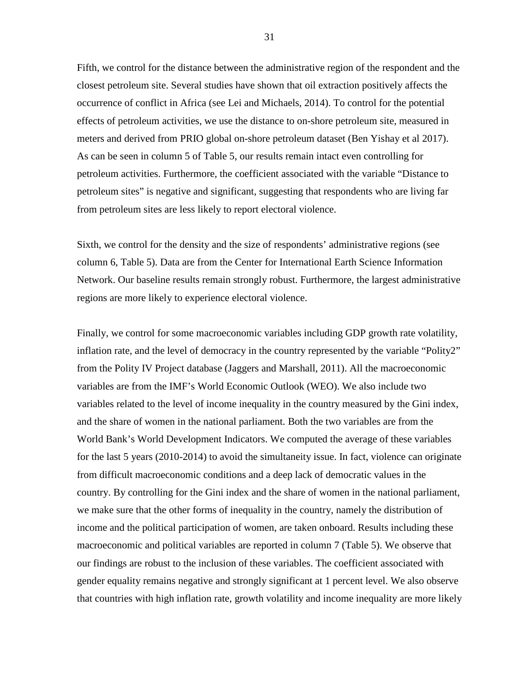Fifth, we control for the distance between the administrative region of the respondent and the closest petroleum site. Several studies have shown that oil extraction positively affects the occurrence of conflict in Africa (see Lei and Michaels, 2014). To control for the potential effects of petroleum activities, we use the distance to on-shore petroleum site, measured in meters and derived from PRIO global on-shore petroleum dataset (Ben Yishay et al 2017). As can be seen in column 5 of Table 5, our results remain intact even controlling for petroleum activities. Furthermore, the coefficient associated with the variable "Distance to petroleum sites" is negative and significant, suggesting that respondents who are living far from petroleum sites are less likely to report electoral violence.

Sixth, we control for the density and the size of respondents' administrative regions (see column 6, Table 5). Data are from the Center for International Earth Science Information Network. Our baseline results remain strongly robust. Furthermore, the largest administrative regions are more likely to experience electoral violence.

Finally, we control for some macroeconomic variables including GDP growth rate volatility, inflation rate, and the level of democracy in the country represented by the variable "Polity2" from the Polity IV Project database (Jaggers and Marshall, 2011). All the macroeconomic variables are from the IMF's World Economic Outlook (WEO). We also include two variables related to the level of income inequality in the country measured by the Gini index, and the share of women in the national parliament. Both the two variables are from the World Bank's World Development Indicators. We computed the average of these variables for the last 5 years (2010-2014) to avoid the simultaneity issue. In fact, violence can originate from difficult macroeconomic conditions and a deep lack of democratic values in the country. By controlling for the Gini index and the share of women in the national parliament, we make sure that the other forms of inequality in the country, namely the distribution of income and the political participation of women, are taken onboard. Results including these macroeconomic and political variables are reported in column 7 (Table 5). We observe that our findings are robust to the inclusion of these variables. The coefficient associated with gender equality remains negative and strongly significant at 1 percent level. We also observe that countries with high inflation rate, growth volatility and income inequality are more likely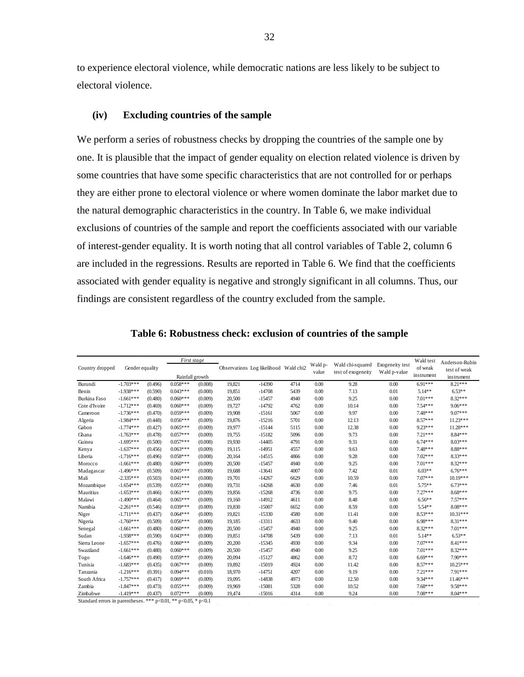to experience electoral violence, while democratic nations are less likely to be subject to electoral violence.

# **(iv) Excluding countries of the sample**

We perform a series of robustness checks by dropping the countries of the sample one by one. It is plausible that the impact of gender equality on election related violence is driven by some countries that have some specific characteristics that are not controlled for or perhaps they are either prone to electoral violence or where women dominate the labor market due to the natural demographic characteristics in the country. In Table 6, we make individual exclusions of countries of the sample and report the coefficients associated with our variable of interest-gender equality. It is worth noting that all control variables of Table 2, column 6 are included in the regressions. Results are reported in Table 6. We find that the coefficients associated with gender equality is negative and strongly significant in all columns. Thus, our findings are consistent regardless of the country excluded from the sample.

<span id="page-31-0"></span>

|                 |                 |         | First stage     |         |        |                                       |      | Wald p- | Wald chi-squared   | Exogeneity test | Wald test  | Anderson-Rubin |
|-----------------|-----------------|---------|-----------------|---------|--------|---------------------------------------|------|---------|--------------------|-----------------|------------|----------------|
| Country dropped | Gender equality |         |                 |         |        | Observations Log likelihood Wald chi2 |      | value   | test of exogeneity | Wald p-value    | of weak    | test of weak   |
|                 |                 |         | Rainfall growth |         |        |                                       |      |         |                    |                 | instrument | instrument     |
| Burundi         | $-1.703***$     | (0.496) | $0.058***$      | (0.008) | 19,821 | $-14390$                              | 4714 | 0.00    | 9.28               | 0.00            | $6.91***$  | $8.21***$      |
| Benin           | $-1.938***$     | (0.590) | $0.043***$      | (0.008) | 19,851 | $-14708$                              | 5439 | 0.00    | 7.13               | 0.01            | $5.14**$   | $6.53**$       |
| Burkina Faso    | $-1.661***$     | (0.480) | $0.060***$      | (0.009) | 20,500 | $-15457$                              | 4940 | 0.00    | 9.25               | 0.00            | $7.01***$  | $8.32***$      |
| Cote d'Ivoire   | $-1.712***$     | (0.469) | $0.060***$      | (0.009) | 19,727 | $-14792$                              | 4762 | 0.00    | 10.14              | 0.00            | $7.54***$  | $9.06***$      |
| Cameroon        | $-1.736***$     | (0.470) | $0.059***$      | (0.009) | 19,908 | $-15161$                              | 5067 | 0.00    | 9.97               | 0.00            | $7.48***$  | $9.07***$      |
| Algeria         | $-1.984***$     | (0.448) | $0.056***$      | (0.009) | 19,876 | $-15216$                              | 5701 | 0.00    | 12.13              | 0.00            | $8.57***$  | $11.23***$     |
| Gabon           | $-1.774***$     | (0.427) | $0.065***$      | (0.009) | 19.977 | $-15144$                              | 5115 | 0.00    | 12.38              | 0.00            | $9.23***$  | $11.28***$     |
| Ghana           | $-1.763***$     | (0.478) | $0.057***$      | (0.009) | 19,755 | $-15182$                              | 5096 | 0.00    | 9.73               | 0.00            | $7.21***$  | 8.84***        |
| Guinea          | $-1.695***$     | (0.500) | $0.057***$      | (0.008) | 19,930 | $-14405$                              | 4791 | 0.00    | 9.31               | 0.00            | $6.74***$  | $8.03***$      |
| Kenya           | $-1.637***$     | (0.456) | $0.063***$      | (0.009) | 19,115 | $-14951$                              | 4557 | 0.00    | 9.63               | 0.00            | $7.48***$  | 8.88***        |
| Liberia         | $-1.716***$     | (0.496) | $0.058***$      | (0.008) | 20,164 | $-14515$                              | 4866 | 0.00    | 9.28               | 0.00            | $7.02***$  | 8.33***        |
| Morocco         | $-1.661***$     | (0.480) | $0.060***$      | (0.009) | 20,500 | $-15457$                              | 4940 | 0.00    | 9.25               | 0.00            | $7.01***$  | $8.32***$      |
| Madagascar      | $-1.496***$     | (0.509) | $0.065***$      | (0.008) | 19,688 | $-13641$                              | 4007 | 0.00    | 7.42               | 0.01            | $6.03**$   | $6.76***$      |
| Mali            | $-2.335***$     | (0.503) | $0.041***$      | (0.008) | 19.701 | $-14267$                              | 6629 | 0.00    | 10.59              | 0.00            | $7.07***$  | $10.19***$     |
| Mozambique      | $-1.654***$     | (0.539) | $0.055***$      | (0.008) | 19,731 | $-14268$                              | 4630 | 0.00    | 7.46               | 0.01            | $5.75**$   | $6.73***$      |
| Mauritius       | $-1.653***$     | (0.466) | $0.061***$      | (0.009) | 19,856 | $-15268$                              | 4736 | 0.00    | 9.75               | 0.00            | $7.27***$  | $8.68***$      |
| Malawi          | $-1.490***$     | (0.464) | $0.065***$      | (0.009) | 19,160 | $-14912$                              | 4611 | 0.00    | 8.48               | 0.00            | $6.56**$   | $7.57***$      |
| Namibia         | $-2.261***$     | (0.546) | $0.039***$      | (0.009) | 19,830 | $-15007$                              | 6652 | 0.00    | 8.59               | 0.00            | 5.54**     | $8.08***$      |
| Niger           | $-1.711***$     | (0.437) | $0.064***$      | (0.009) | 19,821 | $-15330$                              | 4580 | 0.00    | 11.41              | 0.00            | $8.53***$  | $10.31***$     |
| Nigeria         | $-1.760***$     | (0.509) | $0.056***$      | (0.008) | 19,185 | $-13311$                              | 4633 | 0.00    | 9.40               | 0.00            | $6.98***$  | 8.31***        |
| Senegal         | $-1.661***$     | (0.480) | $0.060***$      | (0.009) | 20,500 | $-15457$                              | 4940 | 0.00    | 9.25               | 0.00            | $8.32***$  | $7.01***$      |
| Sudan           | $-1.938***$     | (0.590) | $0.043***$      | (0.008) | 19,851 | $-14708$                              | 5439 | 0.00    | 7.13               | 0.01            | $5.14**$   | $6.53**$       |
| Sierra Leone    | $-1.657***$     | (0.476) | $0.060***$      | (0.009) | 20,200 | $-15345$                              | 4930 | 0.00    | 9.34               | 0.00            | $7.07***$  | 8.41***        |
| Swaziland       | $-1.661***$     | (0.480) | $0.060***$      | (0.009) | 20,500 | $-15457$                              | 4940 | 0.00    | 9.25               | 0.00            | $7.01***$  | $8.32***$      |
| Togo            | $-1.646***$     | (0.490) | $0.059***$      | (0.009) | 20,094 | $-15127$                              | 4862 | 0.00    | 8.72               | 0.00            | $6.69***$  | $7.90***$      |
| Tunisia         | $-1.683***$     | (0.435) | $0.067***$      | (0.009) | 19.892 | $-15019$                              | 4924 | 0.00    | 11.42              | 0.00            | $8.57***$  | $10.25***$     |
| Tanzania        | $-1.216***$     | (0.391) | $0.094***$      | (0.010) | 18,970 | $-14751$                              | 4207 | 0.00    | 9.19               | 0.00            | $7.21***$  | $7.91***$      |
| South Africa    | $-1.757***$     | (0.417) | $0.069***$      | (0.009) | 19,095 | $-14838$                              | 4973 | 0.00    | 12.50              | 0.00            | 9.34***    | $11.46***$     |
| Zambia          | $-1.847***$     | (0.473) | $0.055***$      | (0.009) | 19,969 | $-15081$                              | 5328 | 0.00    | 10.52              | 0.00            | $7.68***$  | $9.58***$      |
| Zimbabwe        | $-1.419***$     | (0.437) | $0.072***$      | (0.009) | 19,474 | $-15016$                              | 4314 | 0.00    | 9.24               | 0.00            | $7.08***$  | $8.04***$      |

**Table 6: Robustness check: exclusion of countries of the sample**

Standard errors in parentheses. \*\*\*  $p<0.01$ , \*\*  $p<0.05$ , \*  $p<0.1$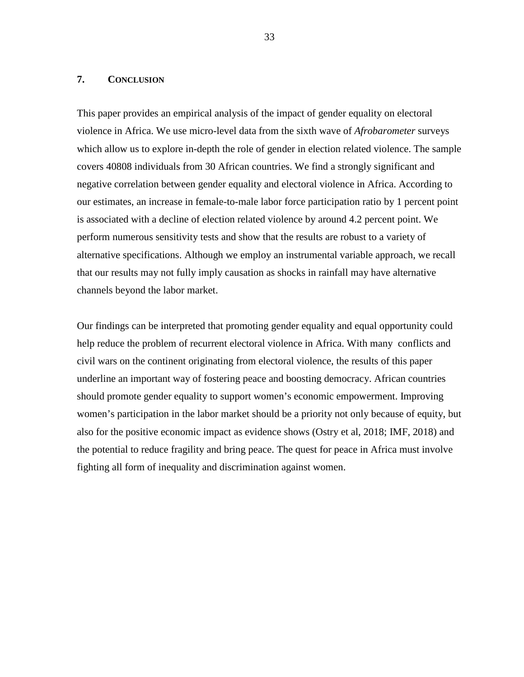#### <span id="page-32-0"></span>**7. CONCLUSION**

This paper provides an empirical analysis of the impact of gender equality on electoral violence in Africa. We use micro-level data from the sixth wave of *Afrobarometer* surveys which allow us to explore in-depth the role of gender in election related violence. The sample covers 40808 individuals from 30 African countries. We find a strongly significant and negative correlation between gender equality and electoral violence in Africa. According to our estimates, an increase in female-to-male labor force participation ratio by 1 percent point is associated with a decline of election related violence by around 4.2 percent point. We perform numerous sensitivity tests and show that the results are robust to a variety of alternative specifications. Although we employ an instrumental variable approach, we recall that our results may not fully imply causation as shocks in rainfall may have alternative channels beyond the labor market.

Our findings can be interpreted that promoting gender equality and equal opportunity could help reduce the problem of recurrent electoral violence in Africa. With many conflicts and civil wars on the continent originating from electoral violence, the results of this paper underline an important way of fostering peace and boosting democracy. African countries should promote gender equality to support women's economic empowerment. Improving women's participation in the labor market should be a priority not only because of equity, but also for the positive economic impact as evidence shows (Ostry et al, 2018; IMF, 2018) and the potential to reduce fragility and bring peace. The quest for peace in Africa must involve fighting all form of inequality and discrimination against women.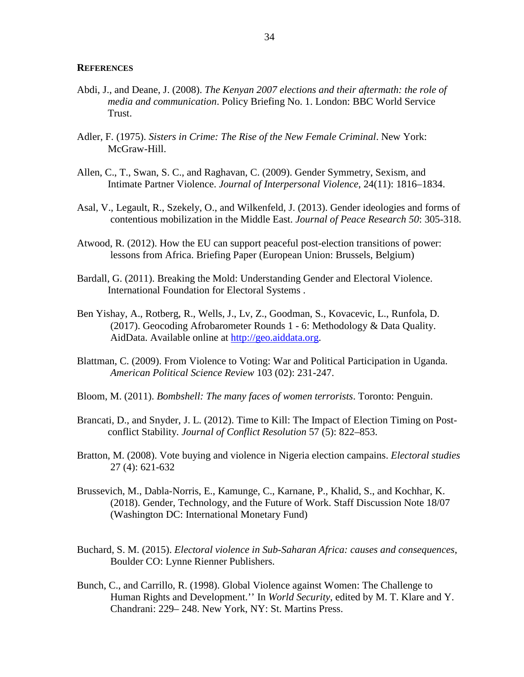#### <span id="page-33-0"></span>**REFERENCES**

- Abdi, J., and Deane, J. (2008). *The Kenyan 2007 elections and their aftermath: the role of media and communication*. Policy Briefing No. 1. London: BBC World Service Trust.
- Adler, F. (1975). *Sisters in Crime: The Rise of the New Female Criminal*. New York: McGraw-Hill.
- Allen, C., T., Swan, S. C., and Raghavan, C. (2009). Gender Symmetry, Sexism, and Intimate Partner Violence. *Journal of Interpersonal Violence*, 24(11): 1816–1834.
- Asal, V., Legault, R., Szekely, O., and Wilkenfeld, J. (2013). Gender ideologies and forms of contentious mobilization in the Middle East. *Journal of Peace Research 50*: 305-318.
- Atwood, R. (2012). How the EU can support peaceful post-election transitions of power: lessons from Africa. Briefing Paper (European Union: Brussels, Belgium)
- Bardall, G. (2011). Breaking the Mold: Understanding Gender and Electoral Violence. International Foundation for Electoral Systems .
- Ben Yishay, A., Rotberg, R., Wells, J., Lv, Z., Goodman, S., Kovacevic, L., Runfola, D. (2017). Geocoding Afrobarometer Rounds 1 - 6: Methodology & Data Quality. AidData. Available online at [http://geo.aiddata.org.](http://geo.aiddata.org/)
- Blattman, C. (2009). From Violence to Voting: War and Political Participation in Uganda. *American Political Science Review* 103 (02): 231-247.
- Bloom, M. (2011). *Bombshell: The many faces of women terrorists*. Toronto: Penguin.
- Brancati, D., and Snyder, J. L. (2012). Time to Kill: The Impact of Election Timing on Postconflict Stability. *Journal of Conflict Resolution* 57 (5): 822–853.
- Bratton, M. (2008). Vote buying and violence in Nigeria election campains. *Electoral studies* 27 (4): 621-632
- Brussevich, M., Dabla-Norris, E., Kamunge, C., Karnane, P., Khalid, S., and Kochhar, K. (2018). Gender, Technology, and the Future of Work. Staff Discussion Note 18/07 (Washington DC: International Monetary Fund)
- Buchard, S. M. (2015). *Electoral violence in Sub-Saharan Africa: causes and consequences*, Boulder CO: Lynne Rienner Publishers.
- Bunch, C., and Carrillo, R. (1998). Global Violence against Women: The Challenge to Human Rights and Development.'' In *World Security*, edited by M. T. Klare and Y. Chandrani: 229– 248. New York, NY: St. Martins Press.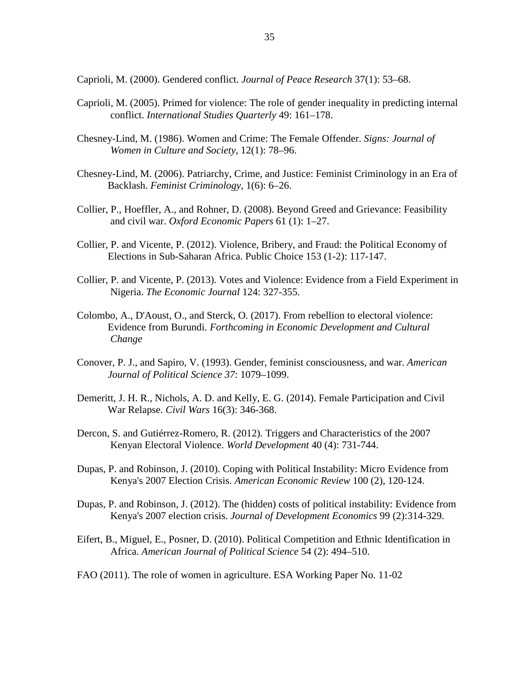Caprioli, M. (2000). Gendered conflict. *Journal of Peace Research* 37(1): 53–68.

- Caprioli, M. (2005). Primed for violence: The role of gender inequality in predicting internal conflict. *International Studies Quarterly* 49: 161–178.
- Chesney-Lind, M. (1986). Women and Crime: The Female Offender. *Signs: Journal of Women in Culture and Society*, 12(1): 78–96.
- Chesney-Lind, M. (2006). Patriarchy, Crime, and Justice: Feminist Criminology in an Era of Backlash. *Feminist Criminology*, 1(6): 6–26.
- Collier, P., Hoeffler, A., and Rohner, D. (2008). Beyond Greed and Grievance: Feasibility and civil war. *Oxford Economic Papers* 61 (1): 1–27.
- Collier, P. and Vicente, P. (2012). Violence, Bribery, and Fraud: the Political Economy of Elections in Sub-Saharan Africa. Public Choice 153 (1-2): 117-147.
- Collier, P. and Vicente, P. (2013). Votes and Violence: Evidence from a Field Experiment in Nigeria. *The Economic Journal* 124: 327-355.
- Colombo, A., D'Aoust, O., and Sterck, O. (2017). From rebellion to electoral violence: Evidence from Burundi. *Forthcoming in Economic Development and Cultural Change*
- Conover, P. J., and Sapiro, V. (1993). Gender, feminist consciousness, and war. *American Journal of Political Science 37*: 1079–1099.
- Demeritt, J. H. R., Nichols, A. D. and Kelly, E. G. (2014). Female Participation and Civil War Relapse. *Civil Wars* 16(3): 346-368.
- Dercon, S. and Gutiérrez-Romero, R. (2012). Triggers and Characteristics of the 2007 Kenyan Electoral Violence. *World Development* 40 (4): 731-744.
- Dupas, P. and Robinson, J. (2010). Coping with Political Instability: Micro Evidence from Kenya's 2007 Election Crisis. *American Economic Review* 100 (2), 120-124.
- Dupas, P. and Robinson, J. (2012). The (hidden) costs of political instability: Evidence from Kenya's 2007 election crisis. *Journal of Development Economics* 99 (2):314-329.
- Eifert, B., Miguel, E., Posner, D. (2010). Political Competition and Ethnic Identification in Africa. *American Journal of Political Science* 54 (2): 494–510.
- FAO (2011). The role of women in agriculture. ESA Working Paper No. 11-02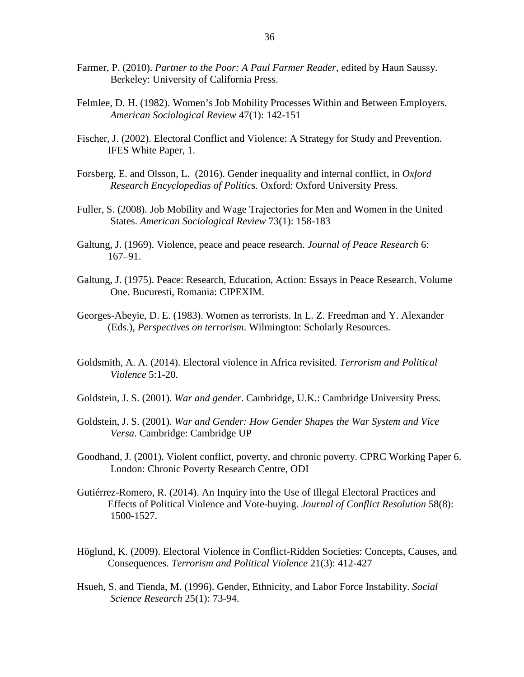- Farmer, P. (2010). *Partner to the Poor: A Paul Farmer Reader*, edited by Haun Saussy. Berkeley: University of California Press.
- Felmlee, D. H. (1982). Women's Job Mobility Processes Within and Between Employers. *American Sociological Review* 47(1): 142-151
- Fischer, J. (2002). Electoral Conflict and Violence: A Strategy for Study and Prevention. IFES White Paper, 1.
- Forsberg, E. and Olsson, L. (2016). Gender inequality and internal conflict, in *Oxford Research Encyclopedias of Politics*. Oxford: Oxford University Press.
- Fuller, S. (2008). Job Mobility and Wage Trajectories for Men and Women in the United States. *American Sociological Review* 73(1): 158-183
- Galtung, J. (1969). Violence, peace and peace research. *Journal of Peace Research* 6: 167–91.
- Galtung, J. (1975). Peace: Research, Education, Action: Essays in Peace Research. Volume One. Bucuresti, Romania: CIPEXIM.
- Georges-Abeyie, D. E. (1983). Women as terrorists. In L. Z. Freedman and Y. Alexander (Eds.), *Perspectives on terrorism*. Wilmington: Scholarly Resources.
- Goldsmith, A. A. (2014). Electoral violence in Africa revisited. *Terrorism and Political Violence* 5:1-20.
- Goldstein, J. S. (2001). *War and gender*. Cambridge, U.K.: Cambridge University Press.
- Goldstein, J. S. (2001). *War and Gender: How Gender Shapes the War System and Vice Versa*. Cambridge: Cambridge UP
- Goodhand, J. (2001). Violent conflict, poverty, and chronic poverty. CPRC Working Paper 6. London: Chronic Poverty Research Centre, ODI
- Gutiérrez-Romero, R. (2014). An Inquiry into the Use of Illegal Electoral Practices and Effects of Political Violence and Vote-buying. *Journal of Conflict Resolution* 58(8): 1500-1527.
- Höglund, K. (2009). Electoral Violence in Conflict-Ridden Societies: Concepts, Causes, and Consequences. *Terrorism and Political Violence* 21(3): 412-427
- Hsueh, S. and Tienda, M. (1996). Gender, Ethnicity, and Labor Force Instability. *Social Science Research* 25(1): 73-94.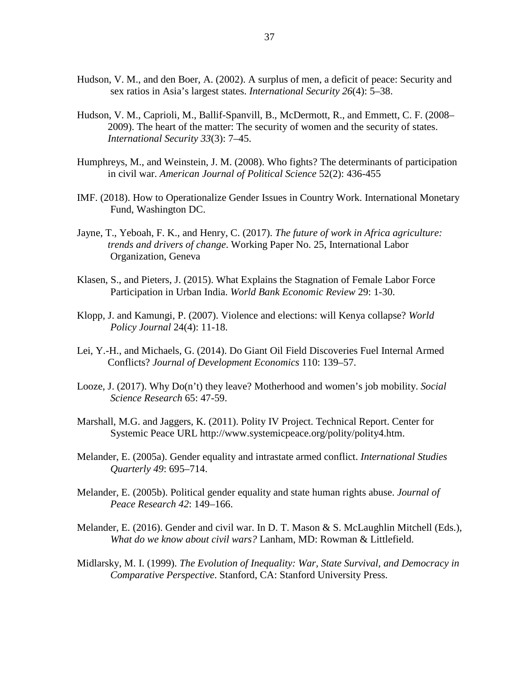- Hudson, V. M., and den Boer, A. (2002). A surplus of men, a deficit of peace: Security and sex ratios in Asia's largest states. *International Security 26*(4): 5–38.
- Hudson, V. M., Caprioli, M., Ballif-Spanvill, B., McDermott, R., and Emmett, C. F. (2008– 2009). The heart of the matter: The security of women and the security of states. *International Security 33*(3): 7–45.
- Humphreys, M., and Weinstein, J. M. (2008). Who fights? The determinants of participation in civil war. *American Journal of Political Science* 52(2): 436-455
- IMF. (2018). How to Operationalize Gender Issues in Country Work. International Monetary Fund, Washington DC.
- Jayne, T., Yeboah, F. K., and Henry, C. (2017). *The future of work in Africa agriculture: trends and drivers of change*. Working Paper No. 25, International Labor Organization, Geneva
- Klasen, S., and Pieters, J. (2015). What Explains the Stagnation of Female Labor Force Participation in Urban India. *World Bank Economic Review* 29: 1-30.
- Klopp, J. and Kamungi, P. (2007). Violence and elections: will Kenya collapse? *World Policy Journal* 24(4): 11-18.
- Lei, Y.-H., and Michaels, G. (2014). Do Giant Oil Field Discoveries Fuel Internal Armed Conflicts? *Journal of Development Economics* 110: 139–57.
- Looze, J. (2017). Why Do(n't) they leave? Motherhood and women's job mobility. *Social Science Research* 65: 47-59.
- Marshall, M.G. and Jaggers, K. (2011). Polity IV Project. Technical Report. Center for Systemic Peace URL http://www.systemicpeace.org/polity/polity4.htm.
- Melander, E. (2005a). Gender equality and intrastate armed conflict. *International Studies Quarterly 49*: 695–714.
- Melander, E. (2005b). Political gender equality and state human rights abuse. *Journal of Peace Research 42*: 149–166.
- Melander, E. (2016). Gender and civil war. In D. T. Mason & S. McLaughlin Mitchell (Eds.), *What do we know about civil wars?* Lanham, MD: Rowman & Littlefield.
- Midlarsky, M. I. (1999). *The Evolution of Inequality: War, State Survival, and Democracy in Comparative Perspective*. Stanford, CA: Stanford University Press.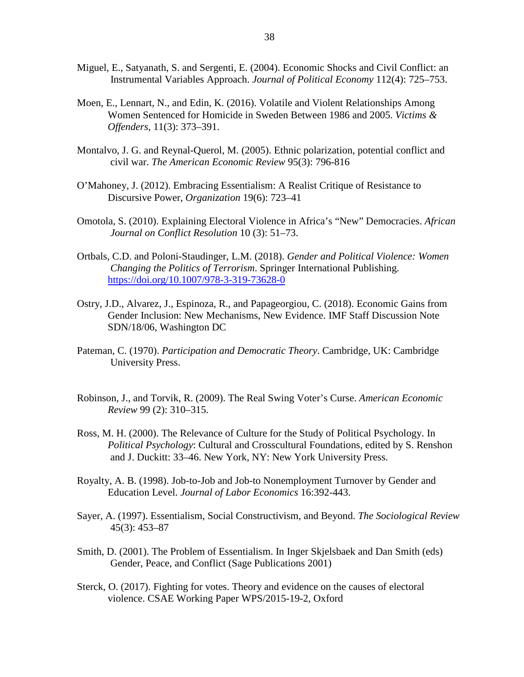- Miguel, E., Satyanath, S. and Sergenti, E. (2004). Economic Shocks and Civil Conflict: an Instrumental Variables Approach. *Journal of Political Economy* 112(4): 725–753.
- Moen, E., Lennart, N., and Edin, K. (2016). Volatile and Violent Relationships Among Women Sentenced for Homicide in Sweden Between 1986 and 2005. *Victims & Offenders*, 11(3): 373–391.
- Montalvo, J. G. and Reynal-Querol, M. (2005). Ethnic polarization, potential conflict and civil war. *The American Economic Review* 95(3): 796-816
- O'Mahoney, J. (2012). Embracing Essentialism: A Realist Critique of Resistance to Discursive Power, *Organization* 19(6): 723–41
- Omotola, S. (2010). Explaining Electoral Violence in Africa's "New" Democracies. *African Journal on Conflict Resolution* 10 (3): 51–73.
- Ortbals, C.D. and Poloni-Staudinger, L.M. (2018). *Gender and Political Violence: Women Changing the Politics of Terrorism*. Springer International Publishing. <https://doi.org/10.1007/978-3-319-73628-0>
- Ostry, J.D., Alvarez, J., Espinoza, R., and Papageorgiou, C. (2018). Economic Gains from Gender Inclusion: New Mechanisms, New Evidence. IMF Staff Discussion Note SDN/18/06, Washington DC
- Pateman, C. (1970). *Participation and Democratic Theory*. Cambridge, UK: Cambridge University Press.
- Robinson, J., and Torvik, R. (2009). The Real Swing Voter's Curse. *American Economic Review* 99 (2): 310–315.
- Ross, M. H. (2000). The Relevance of Culture for the Study of Political Psychology. In *Political Psychology*: Cultural and Crosscultural Foundations, edited by S. Renshon and J. Duckitt: 33–46. New York, NY: New York University Press.
- Royalty, A. B. (1998). Job-to-Job and Job-to Nonemployment Turnover by Gender and Education Level. *Journal of Labor Economics* 16:392-443.
- Sayer, A. (1997). Essentialism, Social Constructivism, and Beyond. *The Sociological Review* 45(3): 453–87
- Smith, D. (2001). The Problem of Essentialism. In Inger Skjelsbaek and Dan Smith (eds) Gender, Peace, and Conflict (Sage Publications 2001)
- Sterck, O. (2017). Fighting for votes. Theory and evidence on the causes of electoral violence. CSAE Working Paper WPS/2015-19-2, Oxford